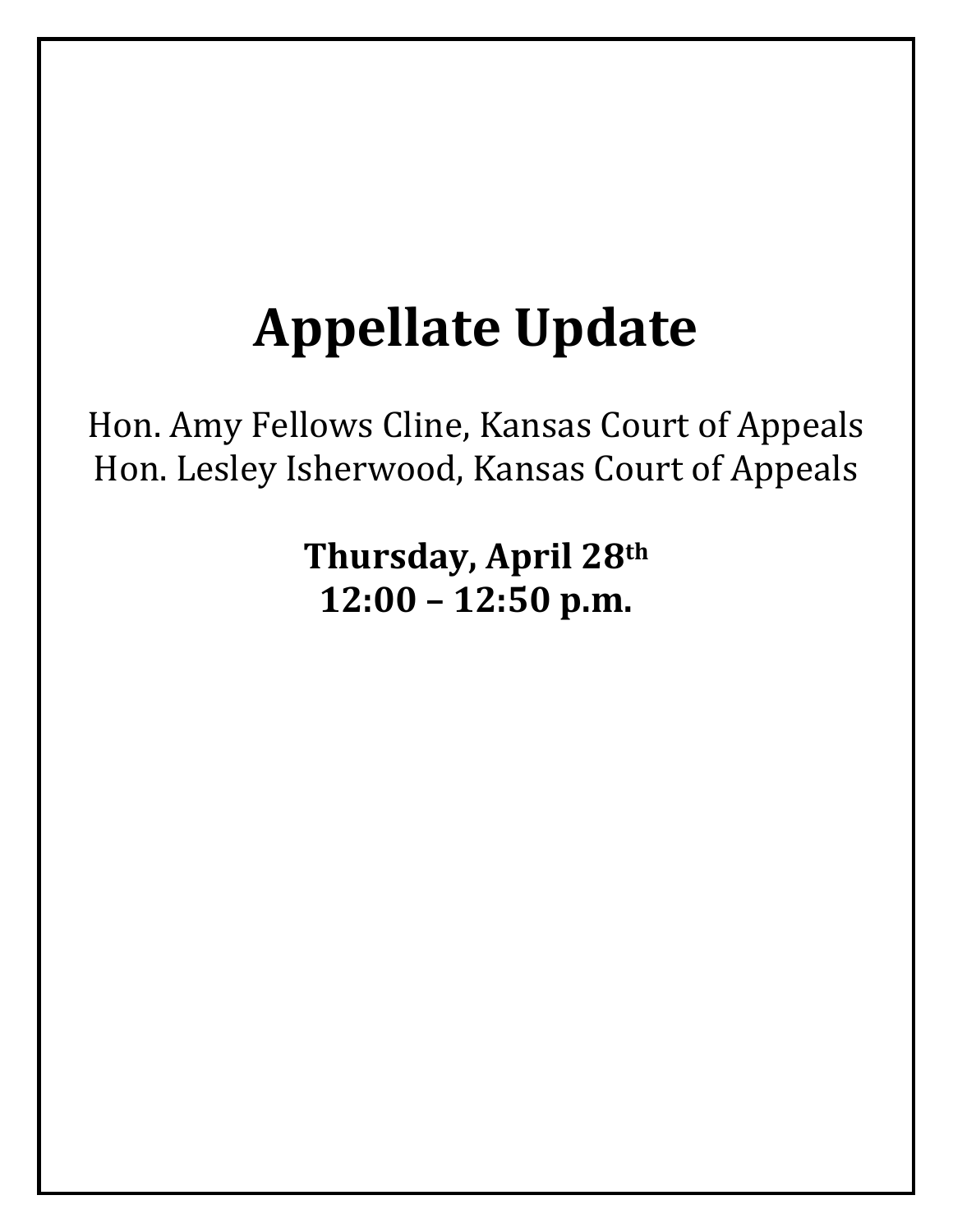# **Appellate Update**

Hon. Amy Fellows Cline, Kansas Court of Appeals Hon. Lesley Isherwood, Kansas Court of Appeals

> **Thursday, April 28th 12:00 – 12:50 p.m.**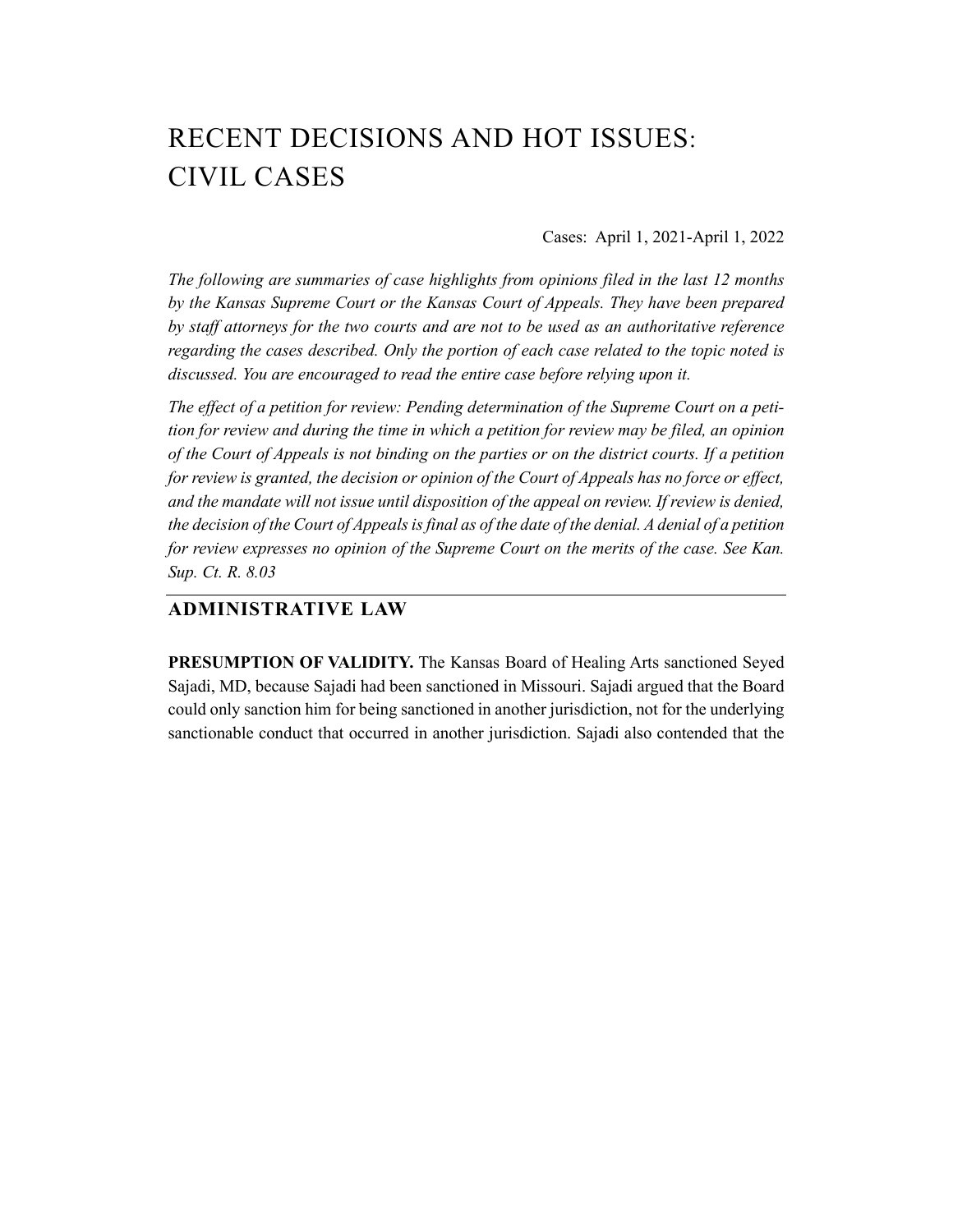# RECENT DECISIONS AND HOT ISSUES: CIVIL CASES

Cases: April 1, 2021-April 1, 2022

*The following are summaries of case highlights from opinions filed in the last 12 months by the Kansas Supreme Court or the Kansas Court of Appeals. They have been prepared by staff attorneys for the two courts and are not to be used as an authoritative reference regarding the cases described. Only the portion of each case related to the topic noted is discussed. You are encouraged to read the entire case before relying upon it.* 

*The effect of a petition for review: Pending determination of the Supreme Court on a petition for review and during the time in which a petition for review may be filed, an opinion of the Court of Appeals is not binding on the parties or on the district courts. If a petition for review is granted, the decision or opinion of the Court of Appeals has no force or effect, and the mandate will not issue until disposition of the appeal on review. If review is denied, the decision of the Court of Appeals is final as of the date of the denial. A denial of a petition for review expresses no opinion of the Supreme Court on the merits of the case. See Kan. Sup. Ct. R. 8.03* 

# **ADMINISTRATIVE LAW**

**PRESUMPTION OF VALIDITY.** The Kansas Board of Healing Arts sanctioned Seyed Sajadi, MD, because Sajadi had been sanctioned in Missouri. Sajadi argued that the Board could only sanction him for being sanctioned in another jurisdiction, not for the underlying sanctionable conduct that occurred in another jurisdiction. Sajadi also contended that the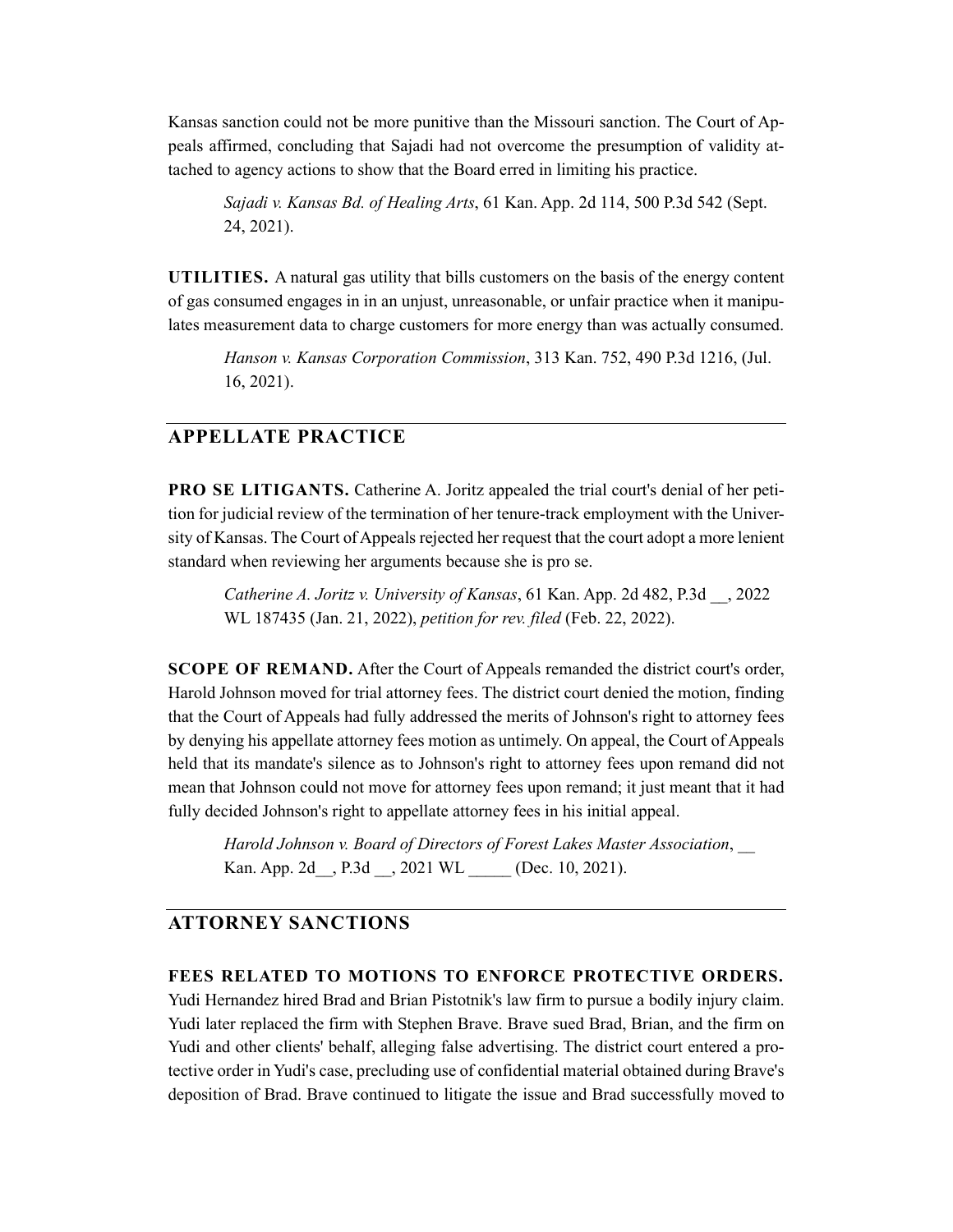Kansas sanction could not be more punitive than the Missouri sanction. The Court of Appeals affirmed, concluding that Sajadi had not overcome the presumption of validity attached to agency actions to show that the Board erred in limiting his practice.

*Sajadi v. Kansas Bd. of Healing Arts*, 61 Kan. App. 2d 114, 500 P.3d 542 (Sept. 24, 2021).

**UTILITIES.** A natural gas utility that bills customers on the basis of the energy content of gas consumed engages in in an unjust, unreasonable, or unfair practice when it manipulates measurement data to charge customers for more energy than was actually consumed.

*Hanson v. Kansas Corporation Commission*, 313 Kan. 752, 490 P.3d 1216, (Jul. 16, 2021).

## **APPELLATE PRACTICE**

**PRO SE LITIGANTS.** Catherine A. Joritz appealed the trial court's denial of her petition for judicial review of the termination of her tenure-track employment with the University of Kansas. The Court of Appeals rejected her request that the court adopt a more lenient standard when reviewing her arguments because she is pro se.

*Catherine A. Joritz v. University of Kansas*, 61 Kan. App. 2d 482, P.3d \_\_, 2022 WL 187435 (Jan. 21, 2022), *petition for rev. filed* (Feb. 22, 2022).

**SCOPE OF REMAND.** After the Court of Appeals remanded the district court's order, Harold Johnson moved for trial attorney fees. The district court denied the motion, finding that the Court of Appeals had fully addressed the merits of Johnson's right to attorney fees by denying his appellate attorney fees motion as untimely. On appeal, the Court of Appeals held that its mandate's silence as to Johnson's right to attorney fees upon remand did not mean that Johnson could not move for attorney fees upon remand; it just meant that it had fully decided Johnson's right to appellate attorney fees in his initial appeal.

*Harold Johnson v. Board of Directors of Forest Lakes Master Association*, \_\_ Kan. App. 2d , P.3d , 2021 WL (Dec. 10, 2021).

#### **ATTORNEY SANCTIONS**

#### **FEES RELATED TO MOTIONS TO ENFORCE PROTECTIVE ORDERS.**

Yudi Hernandez hired Brad and Brian Pistotnik's law firm to pursue a bodily injury claim. Yudi later replaced the firm with Stephen Brave. Brave sued Brad, Brian, and the firm on Yudi and other clients' behalf, alleging false advertising. The district court entered a protective order in Yudi's case, precluding use of confidential material obtained during Brave's deposition of Brad. Brave continued to litigate the issue and Brad successfully moved to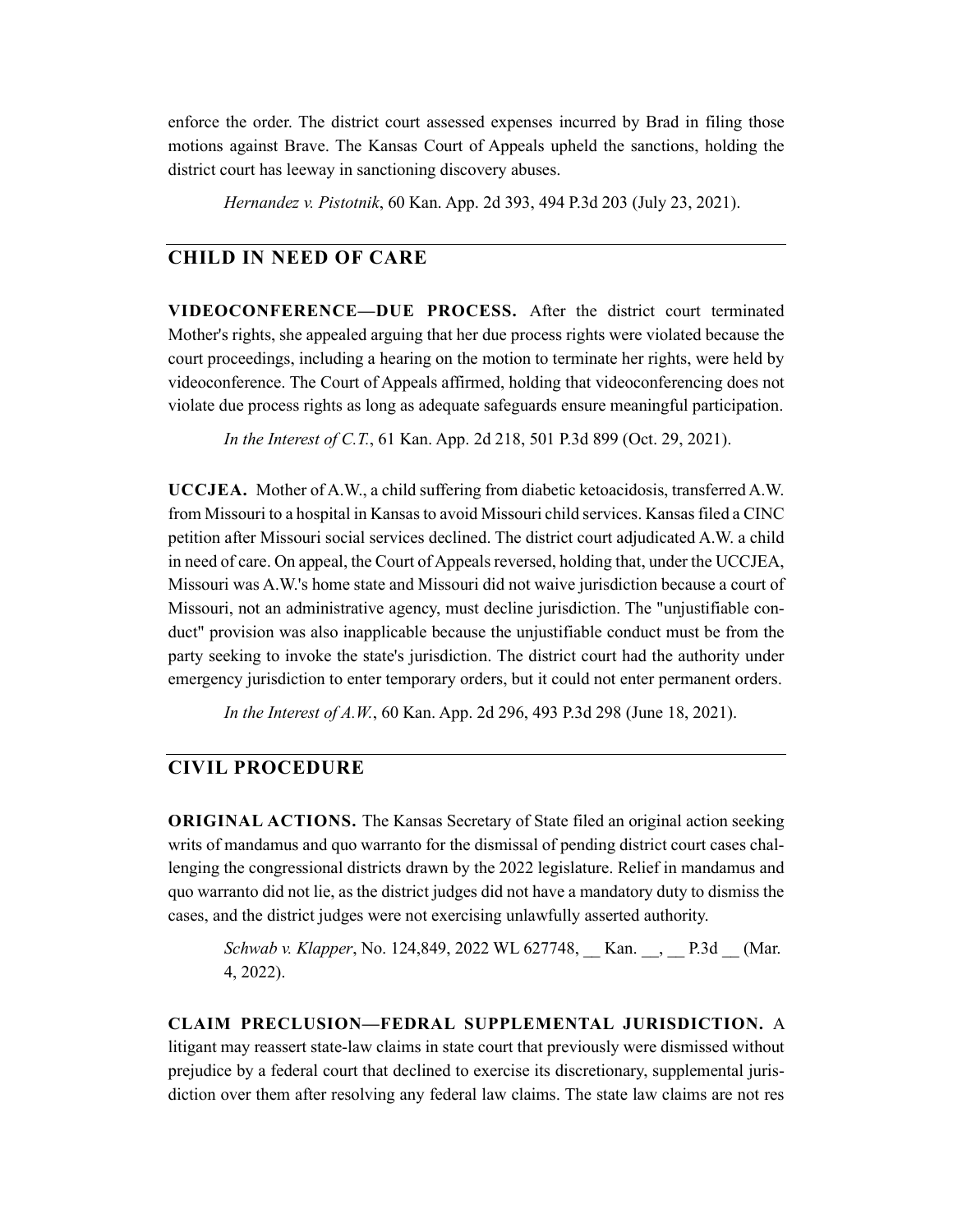enforce the order. The district court assessed expenses incurred by Brad in filing those motions against Brave. The Kansas Court of Appeals upheld the sanctions, holding the district court has leeway in sanctioning discovery abuses.

*Hernandez v. Pistotnik*, 60 Kan. App. 2d 393, 494 P.3d 203 (July 23, 2021).

#### **CHILD IN NEED OF CARE**

**VIDEOCONFERENCE—DUE PROCESS.** After the district court terminated Mother's rights, she appealed arguing that her due process rights were violated because the court proceedings, including a hearing on the motion to terminate her rights, were held by videoconference. The Court of Appeals affirmed, holding that videoconferencing does not violate due process rights as long as adequate safeguards ensure meaningful participation.

*In the Interest of C.T.*, 61 Kan. App. 2d 218, 501 P.3d 899 (Oct. 29, 2021).

**UCCJEA.** Mother of A.W., a child suffering from diabetic ketoacidosis, transferred A.W. from Missouri to a hospital in Kansas to avoid Missouri child services. Kansas filed a CINC petition after Missouri social services declined. The district court adjudicated A.W. a child in need of care. On appeal, the Court of Appeals reversed, holding that, under the UCCJEA, Missouri was A.W.'s home state and Missouri did not waive jurisdiction because a court of Missouri, not an administrative agency, must decline jurisdiction. The "unjustifiable conduct" provision was also inapplicable because the unjustifiable conduct must be from the party seeking to invoke the state's jurisdiction. The district court had the authority under emergency jurisdiction to enter temporary orders, but it could not enter permanent orders.

*In the Interest of A.W.*, 60 Kan. App. 2d 296, 493 P.3d 298 (June 18, 2021).

#### **CIVIL PROCEDURE**

**ORIGINAL ACTIONS.** The Kansas Secretary of State filed an original action seeking writs of mandamus and quo warranto for the dismissal of pending district court cases challenging the congressional districts drawn by the 2022 legislature. Relief in mandamus and quo warranto did not lie, as the district judges did not have a mandatory duty to dismiss the cases, and the district judges were not exercising unlawfully asserted authority.

*Schwab v. Klapper*, No. 124,849, 2022 WL 627748, \_\_ Kan. \_\_, \_\_ P.3d \_\_ (Mar. 4, 2022).

# **CLAIM PRECLUSION—FEDRAL SUPPLEMENTAL JURISDICTION.** A litigant may reassert state-law claims in state court that previously were dismissed without prejudice by a federal court that declined to exercise its discretionary, supplemental jurisdiction over them after resolving any federal law claims. The state law claims are not res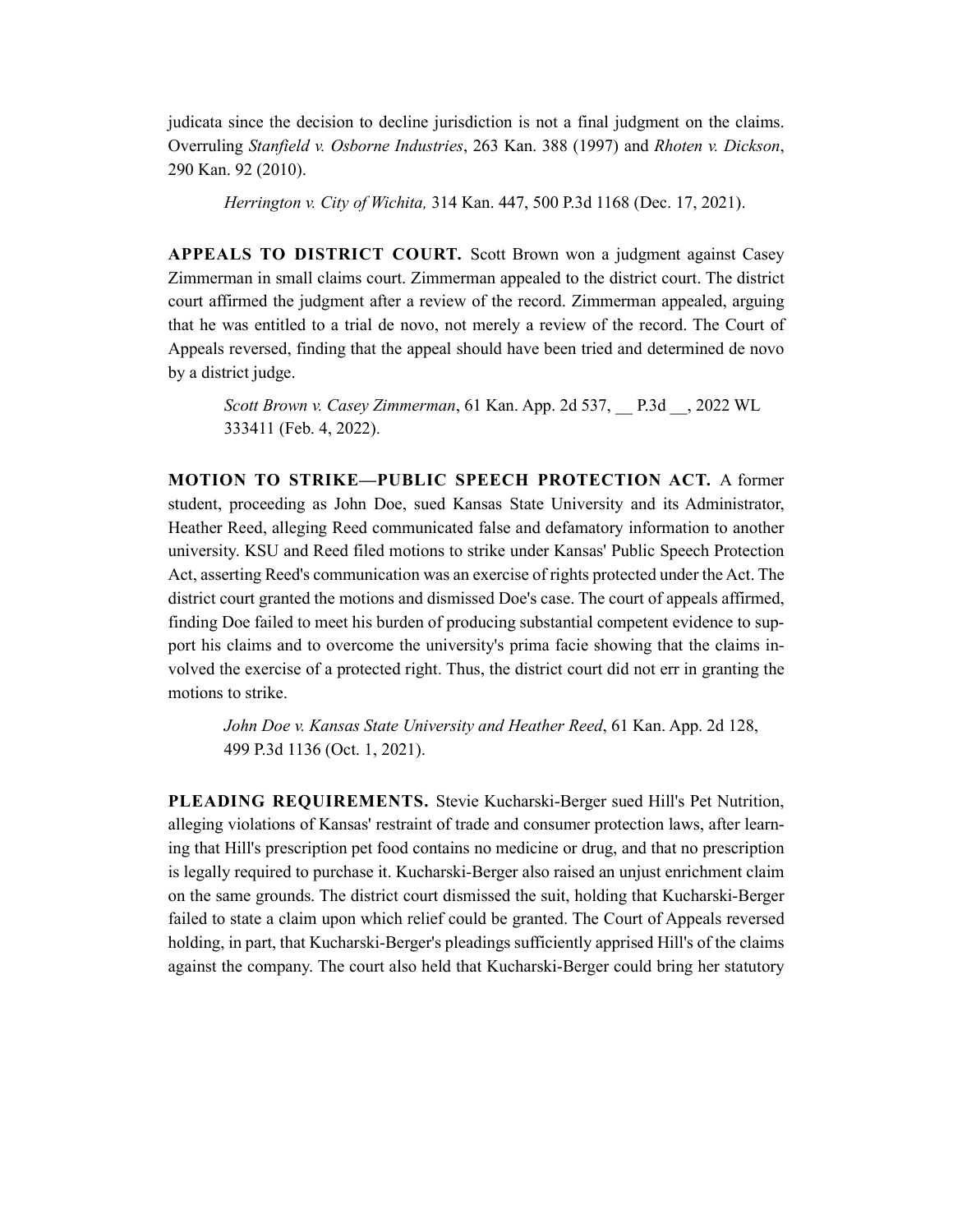judicata since the decision to decline jurisdiction is not a final judgment on the claims. Overruling *Stanfield v. Osborne Industries*, 263 Kan. 388 (1997) and *Rhoten v. Dickson*, 290 Kan. 92 (2010).

*Herrington v. City of Wichita,* 314 Kan. 447, 500 P.3d 1168 (Dec. 17, 2021).

**APPEALS TO DISTRICT COURT.** Scott Brown won a judgment against Casey Zimmerman in small claims court. Zimmerman appealed to the district court. The district court affirmed the judgment after a review of the record. Zimmerman appealed, arguing that he was entitled to a trial de novo, not merely a review of the record. The Court of Appeals reversed, finding that the appeal should have been tried and determined de novo by a district judge.

*Scott Brown v. Casey Zimmerman*, 61 Kan. App. 2d 537, \_\_ P.3d \_\_, 2022 WL 333411 (Feb. 4, 2022).

**MOTION TO STRIKE—PUBLIC SPEECH PROTECTION ACT.** A former student, proceeding as John Doe, sued Kansas State University and its Administrator, Heather Reed, alleging Reed communicated false and defamatory information to another university. KSU and Reed filed motions to strike under Kansas' Public Speech Protection Act, asserting Reed's communication was an exercise of rights protected under the Act. The district court granted the motions and dismissed Doe's case. The court of appeals affirmed, finding Doe failed to meet his burden of producing substantial competent evidence to support his claims and to overcome the university's prima facie showing that the claims involved the exercise of a protected right. Thus, the district court did not err in granting the motions to strike.

*John Doe v. Kansas State University and Heather Reed*, 61 Kan. App. 2d 128, 499 P.3d 1136 (Oct. 1, 2021).

**PLEADING REQUIREMENTS.** Stevie Kucharski-Berger sued Hill's Pet Nutrition, alleging violations of Kansas' restraint of trade and consumer protection laws, after learning that Hill's prescription pet food contains no medicine or drug, and that no prescription is legally required to purchase it. Kucharski-Berger also raised an unjust enrichment claim on the same grounds. The district court dismissed the suit, holding that Kucharski-Berger failed to state a claim upon which relief could be granted. The Court of Appeals reversed holding, in part, that Kucharski-Berger's pleadings sufficiently apprised Hill's of the claims against the company. The court also held that Kucharski-Berger could bring her statutory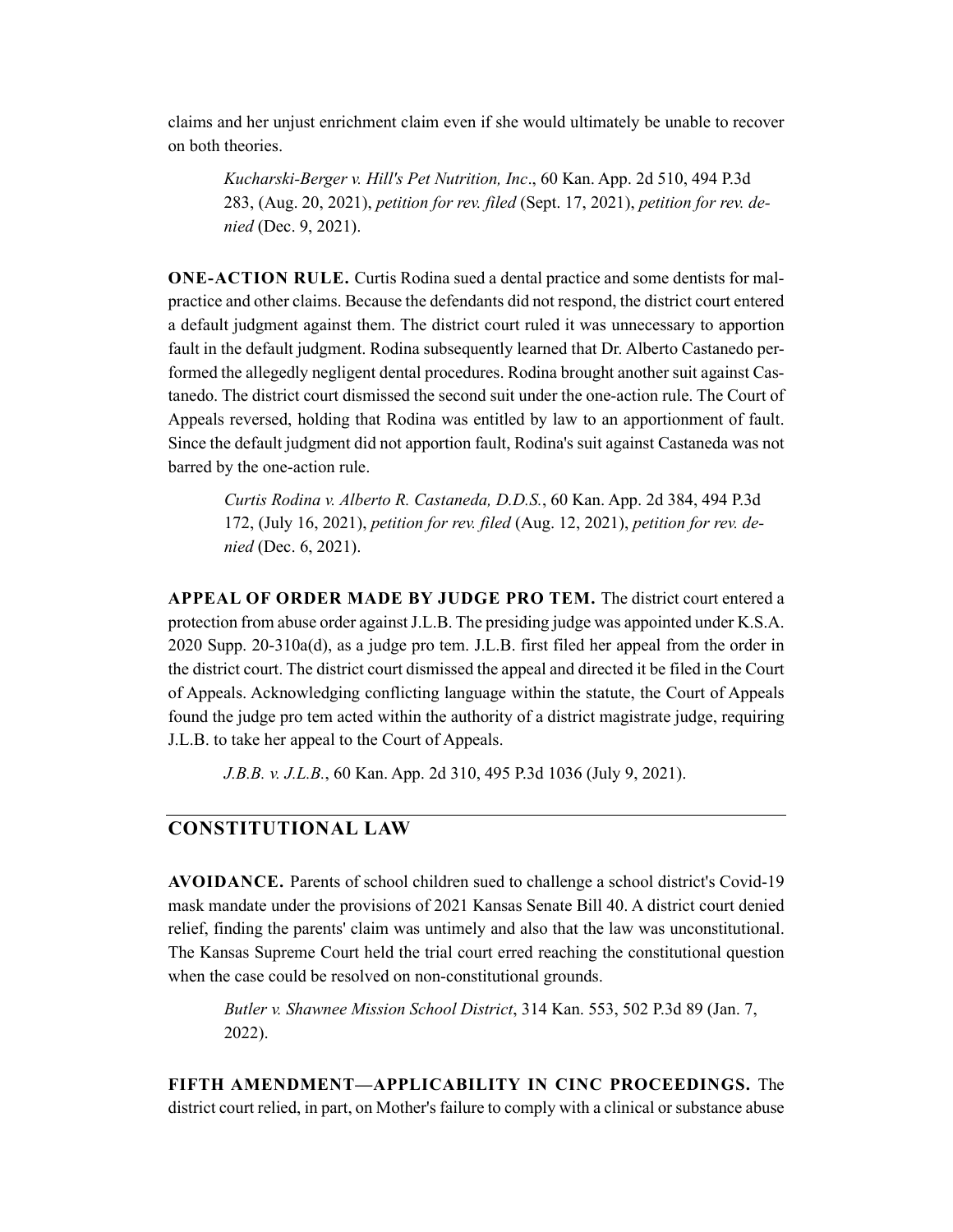claims and her unjust enrichment claim even if she would ultimately be unable to recover on both theories.

*Kucharski-Berger v. Hill's Pet Nutrition, Inc*., 60 Kan. App. 2d 510, 494 P.3d 283, (Aug. 20, 2021), *petition for rev. filed* (Sept. 17, 2021), *petition for rev. denied* (Dec. 9, 2021).

**ONE-ACTION RULE.** Curtis Rodina sued a dental practice and some dentists for malpractice and other claims. Because the defendants did not respond, the district court entered a default judgment against them. The district court ruled it was unnecessary to apportion fault in the default judgment. Rodina subsequently learned that Dr. Alberto Castanedo performed the allegedly negligent dental procedures. Rodina brought another suit against Castanedo. The district court dismissed the second suit under the one-action rule. The Court of Appeals reversed, holding that Rodina was entitled by law to an apportionment of fault. Since the default judgment did not apportion fault, Rodina's suit against Castaneda was not barred by the one-action rule.

*Curtis Rodina v. Alberto R. Castaneda, D.D.S.*, 60 Kan. App. 2d 384, 494 P.3d 172, (July 16, 2021), *petition for rev. filed* (Aug. 12, 2021), *petition for rev. denied* (Dec. 6, 2021).

**APPEAL OF ORDER MADE BY JUDGE PRO TEM.** The district court entered a protection from abuse order against J.L.B. The presiding judge was appointed under K.S.A. 2020 Supp. 20-310a(d), as a judge pro tem. J.L.B. first filed her appeal from the order in the district court. The district court dismissed the appeal and directed it be filed in the Court of Appeals. Acknowledging conflicting language within the statute, the Court of Appeals found the judge pro tem acted within the authority of a district magistrate judge, requiring J.L.B. to take her appeal to the Court of Appeals.

*J.B.B. v. J.L.B.*, 60 Kan. App. 2d 310, 495 P.3d 1036 (July 9, 2021).

# **CONSTITUTIONAL LAW**

**AVOIDANCE.** Parents of school children sued to challenge a school district's Covid-19 mask mandate under the provisions of 2021 Kansas Senate Bill 40. A district court denied relief, finding the parents' claim was untimely and also that the law was unconstitutional. The Kansas Supreme Court held the trial court erred reaching the constitutional question when the case could be resolved on non-constitutional grounds.

*Butler v. Shawnee Mission School District*, 314 Kan. 553, 502 P.3d 89 (Jan. 7, 2022).

**FIFTH AMENDMENT—APPLICABILITY IN CINC PROCEEDINGS.** The district court relied, in part, on Mother's failure to comply with a clinical or substance abuse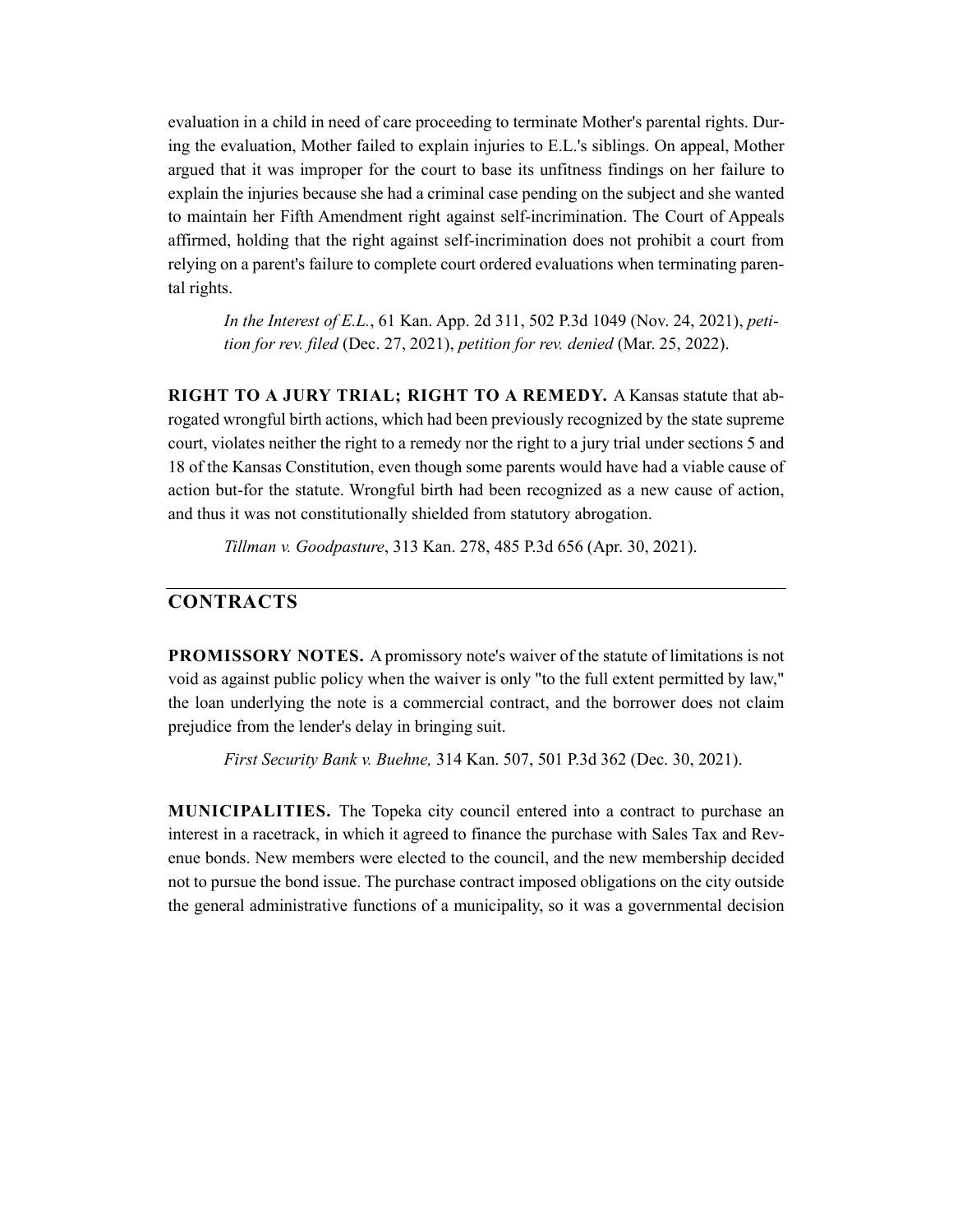evaluation in a child in need of care proceeding to terminate Mother's parental rights. During the evaluation, Mother failed to explain injuries to E.L.'s siblings. On appeal, Mother argued that it was improper for the court to base its unfitness findings on her failure to explain the injuries because she had a criminal case pending on the subject and she wanted to maintain her Fifth Amendment right against self-incrimination. The Court of Appeals affirmed, holding that the right against self-incrimination does not prohibit a court from relying on a parent's failure to complete court ordered evaluations when terminating parental rights.

*In the Interest of E.L.*, 61 Kan. App. 2d 311, 502 P.3d 1049 (Nov. 24, 2021), *petition for rev. filed* (Dec. 27, 2021), *petition for rev. denied* (Mar. 25, 2022).

**RIGHT TO A JURY TRIAL; RIGHT TO A REMEDY.** A Kansas statute that abrogated wrongful birth actions, which had been previously recognized by the state supreme court, violates neither the right to a remedy nor the right to a jury trial under sections 5 and 18 of the Kansas Constitution, even though some parents would have had a viable cause of action but-for the statute. Wrongful birth had been recognized as a new cause of action, and thus it was not constitutionally shielded from statutory abrogation.

*Tillman v. Goodpasture*, 313 Kan. 278, 485 P.3d 656 (Apr. 30, 2021).

# **CONTRACTS**

**PROMISSORY NOTES.** A promissory note's waiver of the statute of limitations is not void as against public policy when the waiver is only "to the full extent permitted by law," the loan underlying the note is a commercial contract, and the borrower does not claim prejudice from the lender's delay in bringing suit.

*First Security Bank v. Buehne,* 314 Kan. 507, 501 P.3d 362 (Dec. 30, 2021).

**MUNICIPALITIES.** The Topeka city council entered into a contract to purchase an interest in a racetrack, in which it agreed to finance the purchase with Sales Tax and Revenue bonds. New members were elected to the council, and the new membership decided not to pursue the bond issue. The purchase contract imposed obligations on the city outside the general administrative functions of a municipality, so it was a governmental decision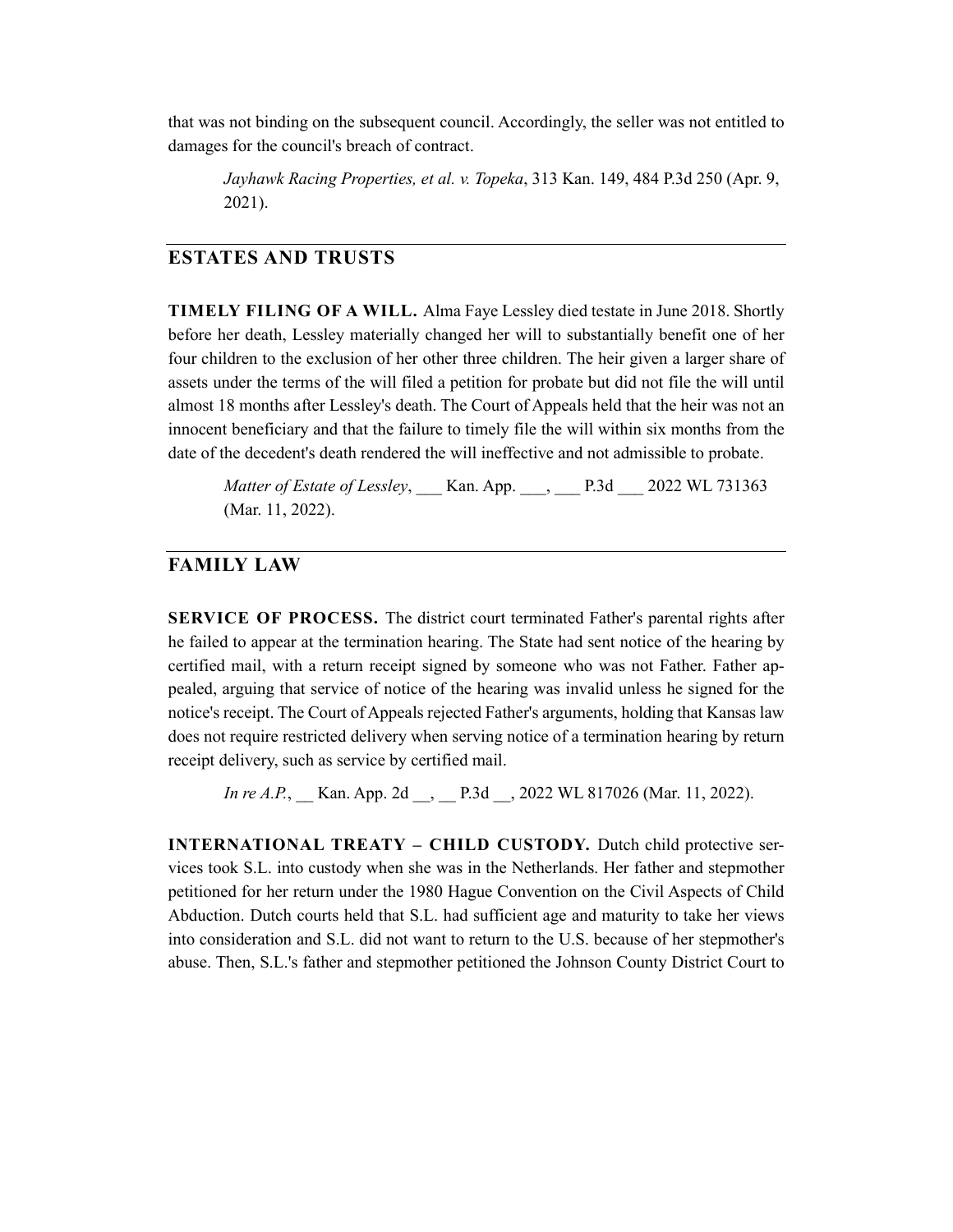that was not binding on the subsequent council. Accordingly, the seller was not entitled to damages for the council's breach of contract.

*Jayhawk Racing Properties, et al. v. Topeka*, 313 Kan. 149, 484 P.3d 250 (Apr. 9, 2021).

#### **ESTATES AND TRUSTS**

**TIMELY FILING OF A WILL.** Alma Faye Lessley died testate in June 2018. Shortly before her death, Lessley materially changed her will to substantially benefit one of her four children to the exclusion of her other three children. The heir given a larger share of assets under the terms of the will filed a petition for probate but did not file the will until almost 18 months after Lessley's death. The Court of Appeals held that the heir was not an innocent beneficiary and that the failure to timely file the will within six months from the date of the decedent's death rendered the will ineffective and not admissible to probate.

*Matter of Estate of Lessley*, Kan. App. , P.3d 2022 WL 731363 (Mar. 11, 2022).

# **FAMILY LAW**

**SERVICE OF PROCESS.** The district court terminated Father's parental rights after he failed to appear at the termination hearing. The State had sent notice of the hearing by certified mail, with a return receipt signed by someone who was not Father. Father appealed, arguing that service of notice of the hearing was invalid unless he signed for the notice's receipt. The Court of Appeals rejected Father's arguments, holding that Kansas law does not require restricted delivery when serving notice of a termination hearing by return receipt delivery, such as service by certified mail.

*In re A.P.*, Kan. App. 2d , P.3d , 2022 WL 817026 (Mar. 11, 2022).

**INTERNATIONAL TREATY – CHILD CUSTODY.** Dutch child protective services took S.L. into custody when she was in the Netherlands. Her father and stepmother petitioned for her return under the 1980 Hague Convention on the Civil Aspects of Child Abduction. Dutch courts held that S.L. had sufficient age and maturity to take her views into consideration and S.L. did not want to return to the U.S. because of her stepmother's abuse. Then, S.L.'s father and stepmother petitioned the Johnson County District Court to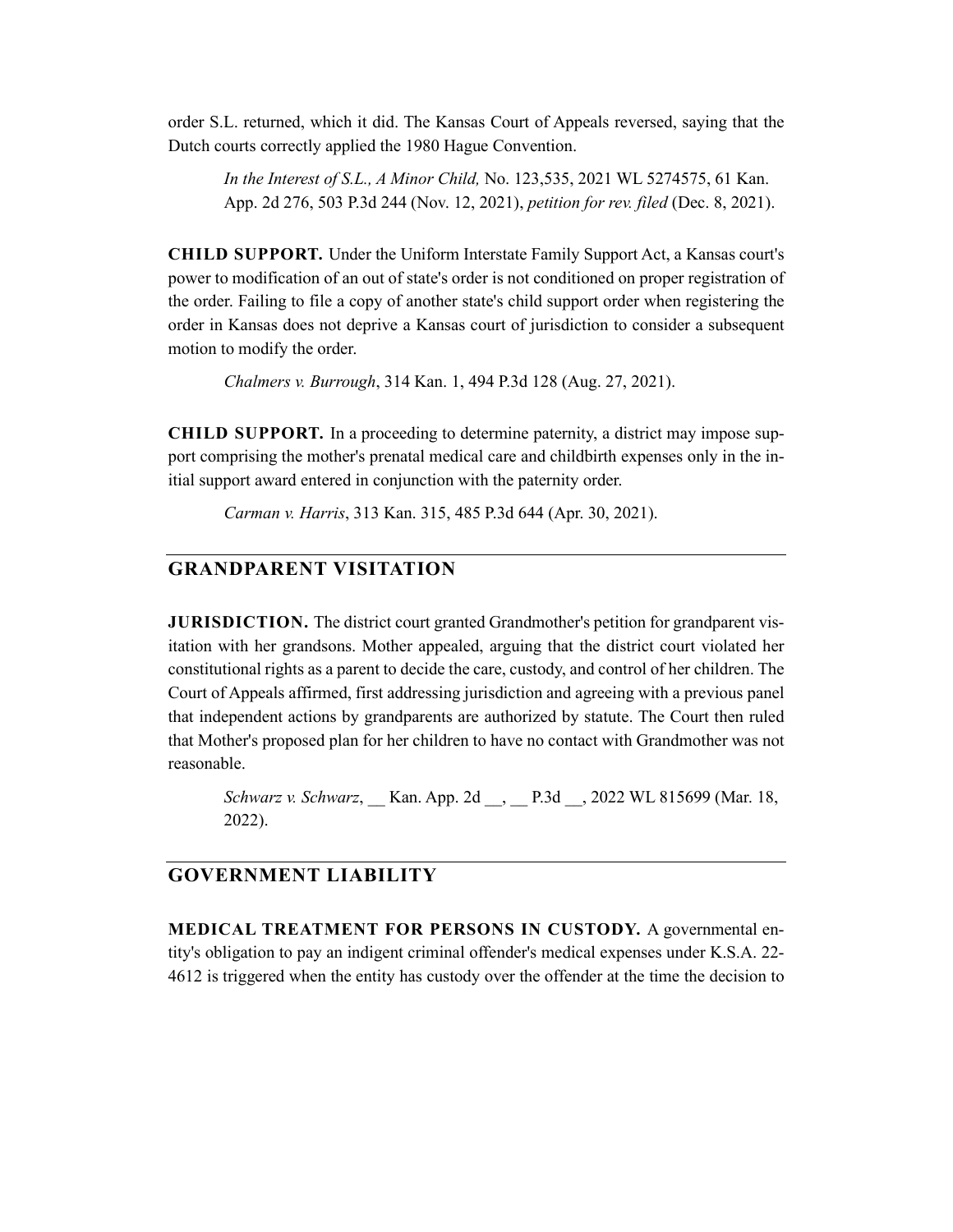order S.L. returned, which it did. The Kansas Court of Appeals reversed, saying that the Dutch courts correctly applied the 1980 Hague Convention.

*In the Interest of S.L., A Minor Child,* No. 123,535, 2021 WL 5274575, 61 Kan. App. 2d 276, 503 P.3d 244 (Nov. 12, 2021), *petition for rev. filed* (Dec. 8, 2021).

**CHILD SUPPORT.** Under the Uniform Interstate Family Support Act, a Kansas court's power to modification of an out of state's order is not conditioned on proper registration of the order. Failing to file a copy of another state's child support order when registering the order in Kansas does not deprive a Kansas court of jurisdiction to consider a subsequent motion to modify the order.

*Chalmers v. Burrough*, 314 Kan. 1, 494 P.3d 128 (Aug. 27, 2021).

**CHILD SUPPORT.** In a proceeding to determine paternity, a district may impose support comprising the mother's prenatal medical care and childbirth expenses only in the initial support award entered in conjunction with the paternity order.

*Carman v. Harris*, 313 Kan. 315, 485 P.3d 644 (Apr. 30, 2021).

# **GRANDPARENT VISITATION**

**JURISDICTION.** The district court granted Grandmother's petition for grandparent visitation with her grandsons. Mother appealed, arguing that the district court violated her constitutional rights as a parent to decide the care, custody, and control of her children. The Court of Appeals affirmed, first addressing jurisdiction and agreeing with a previous panel that independent actions by grandparents are authorized by statute. The Court then ruled that Mother's proposed plan for her children to have no contact with Grandmother was not reasonable.

*Schwarz v. Schwarz*, Kan. App. 2d , P.3d , 2022 WL 815699 (Mar. 18, 2022).

# **GOVERNMENT LIABILITY**

**MEDICAL TREATMENT FOR PERSONS IN CUSTODY.** A governmental entity's obligation to pay an indigent criminal offender's medical expenses under K.S.A. 22- 4612 is triggered when the entity has custody over the offender at the time the decision to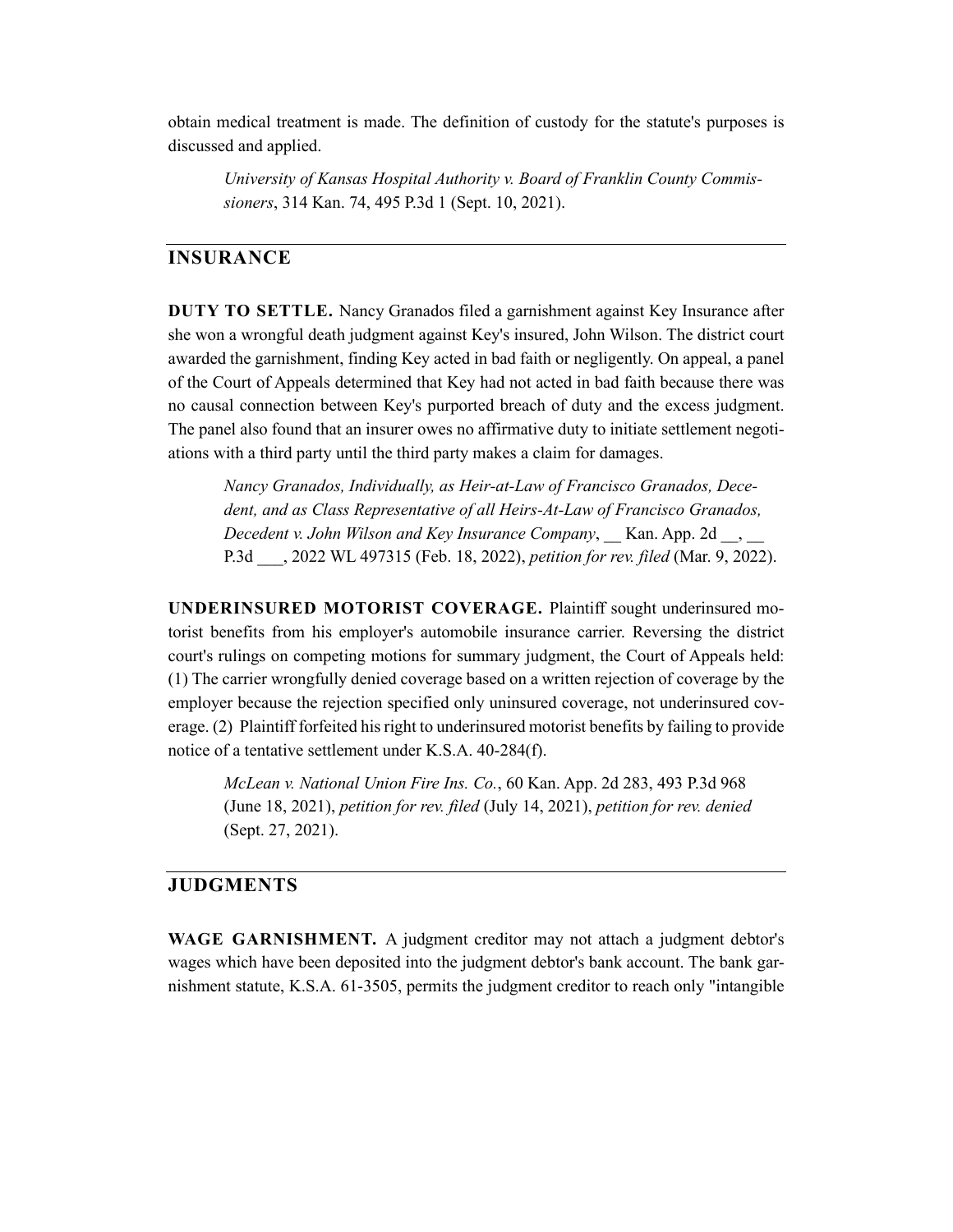obtain medical treatment is made. The definition of custody for the statute's purposes is discussed and applied.

*University of Kansas Hospital Authority v. Board of Franklin County Commissioners*, 314 Kan. 74, 495 P.3d 1 (Sept. 10, 2021).

#### **INSURANCE**

**DUTY TO SETTLE.** Nancy Granados filed a garnishment against Key Insurance after she won a wrongful death judgment against Key's insured, John Wilson. The district court awarded the garnishment, finding Key acted in bad faith or negligently. On appeal, a panel of the Court of Appeals determined that Key had not acted in bad faith because there was no causal connection between Key's purported breach of duty and the excess judgment. The panel also found that an insurer owes no affirmative duty to initiate settlement negotiations with a third party until the third party makes a claim for damages.

*Nancy Granados, Individually, as Heir-at-Law of Francisco Granados, Decedent, and as Class Representative of all Heirs-At-Law of Francisco Granados, Decedent v. John Wilson and Key Insurance Company*, \_\_ Kan. App. 2d \_\_, \_\_ P.3d \_\_\_, 2022 WL 497315 (Feb. 18, 2022), *petition for rev. filed* (Mar. 9, 2022).

**UNDERINSURED MOTORIST COVERAGE.** Plaintiff sought underinsured motorist benefits from his employer's automobile insurance carrier. Reversing the district court's rulings on competing motions for summary judgment, the Court of Appeals held: (1) The carrier wrongfully denied coverage based on a written rejection of coverage by the employer because the rejection specified only uninsured coverage, not underinsured coverage. (2) Plaintiff forfeited his right to underinsured motorist benefits by failing to provide notice of a tentative settlement under K.S.A. 40-284(f).

*McLean v. National Union Fire Ins. Co.*, 60 Kan. App. 2d 283, 493 P.3d 968 (June 18, 2021), *petition for rev. filed* (July 14, 2021), *petition for rev. denied* (Sept. 27, 2021).

# **JUDGMENTS**

**WAGE GARNISHMENT.** A judgment creditor may not attach a judgment debtor's wages which have been deposited into the judgment debtor's bank account. The bank garnishment statute, K.S.A. 61-3505, permits the judgment creditor to reach only "intangible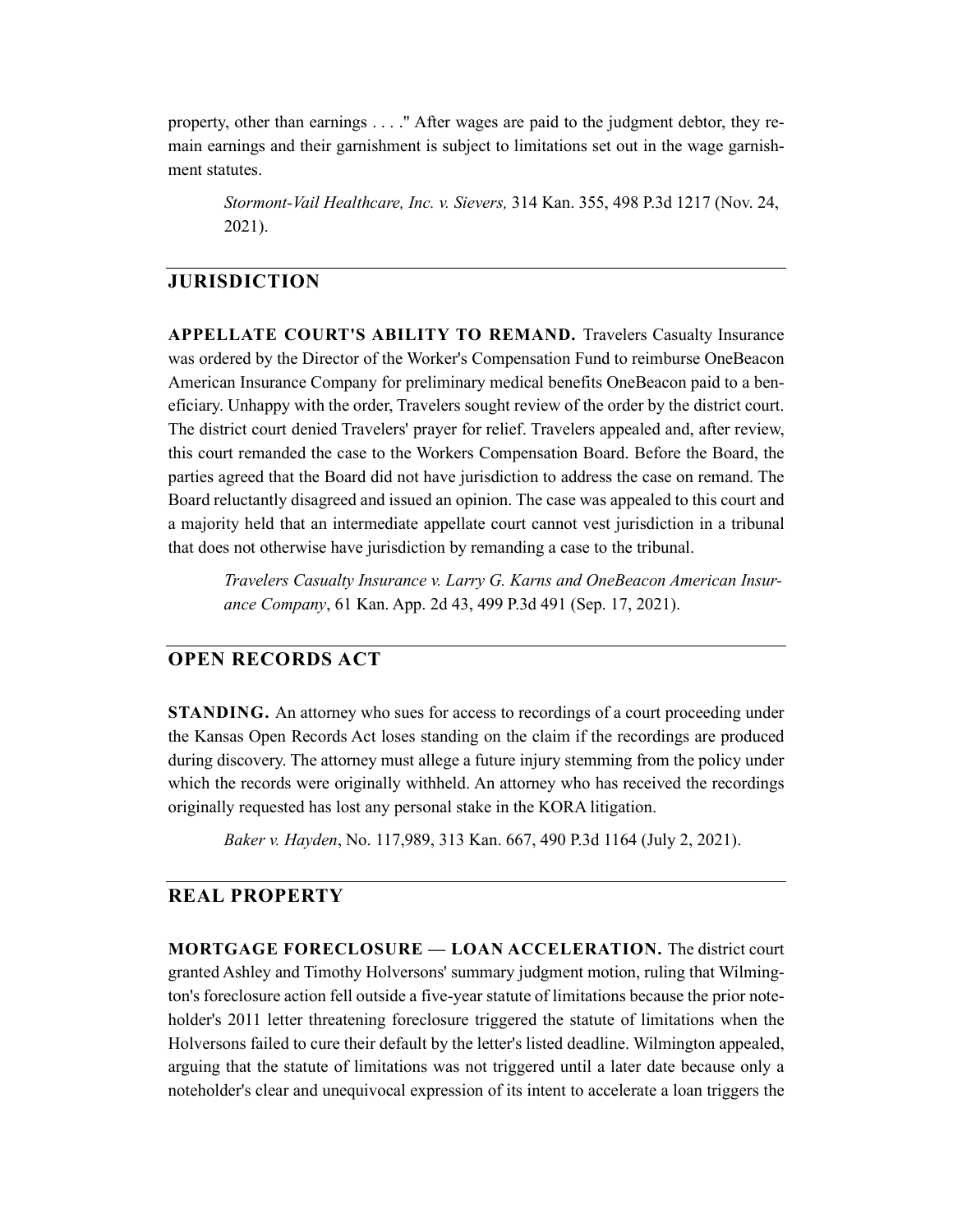property, other than earnings . . . ." After wages are paid to the judgment debtor, they remain earnings and their garnishment is subject to limitations set out in the wage garnishment statutes.

*Stormont-Vail Healthcare, Inc. v. Sievers,* 314 Kan. 355, 498 P.3d 1217 (Nov. 24, 2021).

# **JURISDICTION**

**APPELLATE COURT'S ABILITY TO REMAND.** Travelers Casualty Insurance was ordered by the Director of the Worker's Compensation Fund to reimburse OneBeacon American Insurance Company for preliminary medical benefits OneBeacon paid to a beneficiary. Unhappy with the order, Travelers sought review of the order by the district court. The district court denied Travelers' prayer for relief. Travelers appealed and, after review, this court remanded the case to the Workers Compensation Board. Before the Board, the parties agreed that the Board did not have jurisdiction to address the case on remand. The Board reluctantly disagreed and issued an opinion. The case was appealed to this court and a majority held that an intermediate appellate court cannot vest jurisdiction in a tribunal that does not otherwise have jurisdiction by remanding a case to the tribunal.

*Travelers Casualty Insurance v. Larry G. Karns and OneBeacon American Insurance Company*, 61 Kan. App. 2d 43, 499 P.3d 491 (Sep. 17, 2021).

# **OPEN RECORDS ACT**

**STANDING.** An attorney who sues for access to recordings of a court proceeding under the Kansas Open Records Act loses standing on the claim if the recordings are produced during discovery. The attorney must allege a future injury stemming from the policy under which the records were originally withheld. An attorney who has received the recordings originally requested has lost any personal stake in the KORA litigation.

*Baker v. Hayden*, No. 117,989, 313 Kan. 667, 490 P.3d 1164 (July 2, 2021).

#### **REAL PROPERTY**

**MORTGAGE FORECLOSURE — LOAN ACCELERATION.** The district court granted Ashley and Timothy Holversons' summary judgment motion, ruling that Wilmington's foreclosure action fell outside a five-year statute of limitations because the prior noteholder's 2011 letter threatening foreclosure triggered the statute of limitations when the Holversons failed to cure their default by the letter's listed deadline. Wilmington appealed, arguing that the statute of limitations was not triggered until a later date because only a noteholder's clear and unequivocal expression of its intent to accelerate a loan triggers the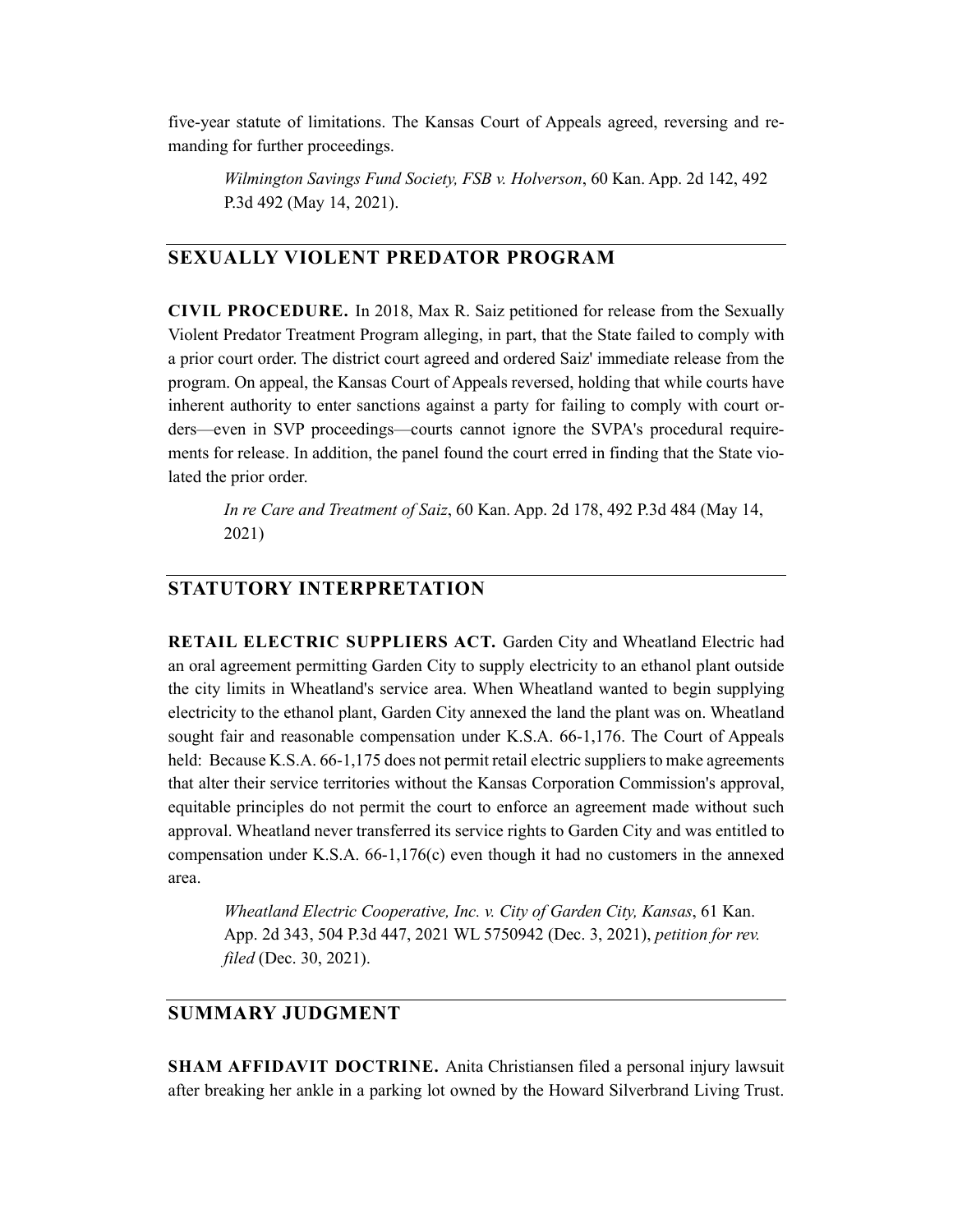five-year statute of limitations. The Kansas Court of Appeals agreed, reversing and remanding for further proceedings.

*Wilmington Savings Fund Society, FSB v. Holverson*, 60 Kan. App. 2d 142, 492 P.3d 492 (May 14, 2021).

#### **SEXUALLY VIOLENT PREDATOR PROGRAM**

**CIVIL PROCEDURE.** In 2018, Max R. Saiz petitioned for release from the Sexually Violent Predator Treatment Program alleging, in part, that the State failed to comply with a prior court order. The district court agreed and ordered Saiz' immediate release from the program. On appeal, the Kansas Court of Appeals reversed, holding that while courts have inherent authority to enter sanctions against a party for failing to comply with court orders—even in SVP proceedings—courts cannot ignore the SVPA's procedural requirements for release. In addition, the panel found the court erred in finding that the State violated the prior order.

*In re Care and Treatment of Saiz*, 60 Kan. App. 2d 178, 492 P.3d 484 (May 14, 2021)

#### **STATUTORY INTERPRETATION**

**RETAIL ELECTRIC SUPPLIERS ACT.** Garden City and Wheatland Electric had an oral agreement permitting Garden City to supply electricity to an ethanol plant outside the city limits in Wheatland's service area. When Wheatland wanted to begin supplying electricity to the ethanol plant, Garden City annexed the land the plant was on. Wheatland sought fair and reasonable compensation under K.S.A. 66-1,176. The Court of Appeals held: Because K.S.A. 66-1,175 does not permit retail electric suppliers to make agreements that alter their service territories without the Kansas Corporation Commission's approval, equitable principles do not permit the court to enforce an agreement made without such approval. Wheatland never transferred its service rights to Garden City and was entitled to compensation under K.S.A. 66-1,176(c) even though it had no customers in the annexed area.

*Wheatland Electric Cooperative, Inc. v. City of Garden City, Kansas*, 61 Kan. App. 2d 343, 504 P.3d 447, 2021 WL 5750942 (Dec. 3, 2021), *petition for rev. filed* (Dec. 30, 2021).

# **SUMMARY JUDGMENT**

**SHAM AFFIDAVIT DOCTRINE.** Anita Christiansen filed a personal injury lawsuit after breaking her ankle in a parking lot owned by the Howard Silverbrand Living Trust.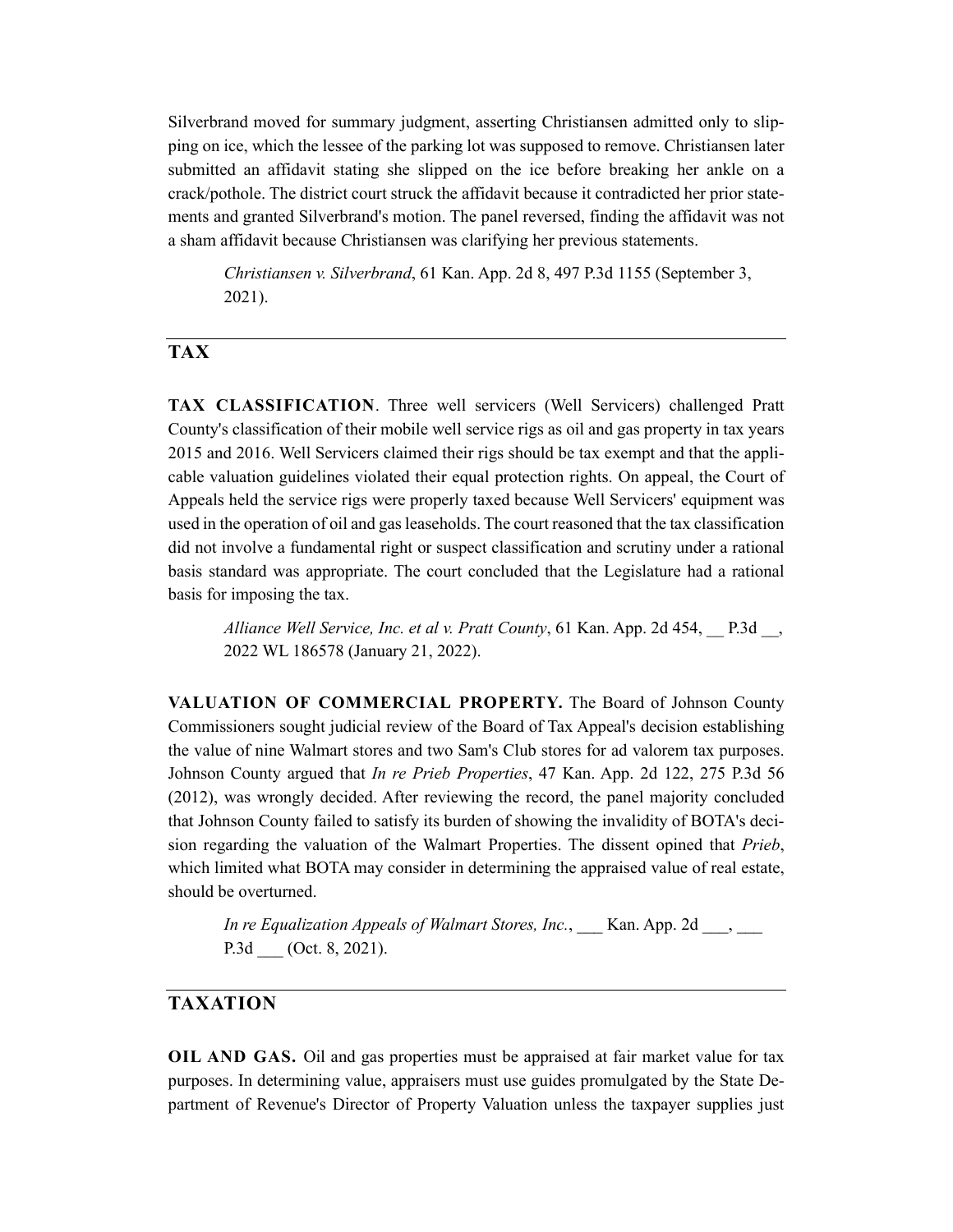Silverbrand moved for summary judgment, asserting Christiansen admitted only to slipping on ice, which the lessee of the parking lot was supposed to remove. Christiansen later submitted an affidavit stating she slipped on the ice before breaking her ankle on a crack/pothole. The district court struck the affidavit because it contradicted her prior statements and granted Silverbrand's motion. The panel reversed, finding the affidavit was not a sham affidavit because Christiansen was clarifying her previous statements.

*Christiansen v. Silverbrand*, 61 Kan. App. 2d 8, 497 P.3d 1155 (September 3, 2021).

#### **TAX**

**TAX CLASSIFICATION**. Three well servicers (Well Servicers) challenged Pratt County's classification of their mobile well service rigs as oil and gas property in tax years 2015 and 2016. Well Servicers claimed their rigs should be tax exempt and that the applicable valuation guidelines violated their equal protection rights. On appeal, the Court of Appeals held the service rigs were properly taxed because Well Servicers' equipment was used in the operation of oil and gas leaseholds. The court reasoned that the tax classification did not involve a fundamental right or suspect classification and scrutiny under a rational basis standard was appropriate. The court concluded that the Legislature had a rational basis for imposing the tax.

*Alliance Well Service, Inc. et al v. Pratt County*, 61 Kan. App. 2d 454, \_\_ P.3d \_\_, 2022 WL 186578 (January 21, 2022).

**VALUATION OF COMMERCIAL PROPERTY.** The Board of Johnson County Commissioners sought judicial review of the Board of Tax Appeal's decision establishing the value of nine Walmart stores and two Sam's Club stores for ad valorem tax purposes. Johnson County argued that *In re Prieb Properties*, 47 Kan. App. 2d 122, 275 P.3d 56 (2012), was wrongly decided. After reviewing the record, the panel majority concluded that Johnson County failed to satisfy its burden of showing the invalidity of BOTA's decision regarding the valuation of the Walmart Properties. The dissent opined that *Prieb*, which limited what BOTA may consider in determining the appraised value of real estate, should be overturned.

*In re Equalization Appeals of Walmart Stores, Inc.*, Kan. App. 2d  $\blacksquare$ , P.3d (Oct. 8, 2021).

# **TAXATION**

**OIL AND GAS.** Oil and gas properties must be appraised at fair market value for tax purposes. In determining value, appraisers must use guides promulgated by the State Department of Revenue's Director of Property Valuation unless the taxpayer supplies just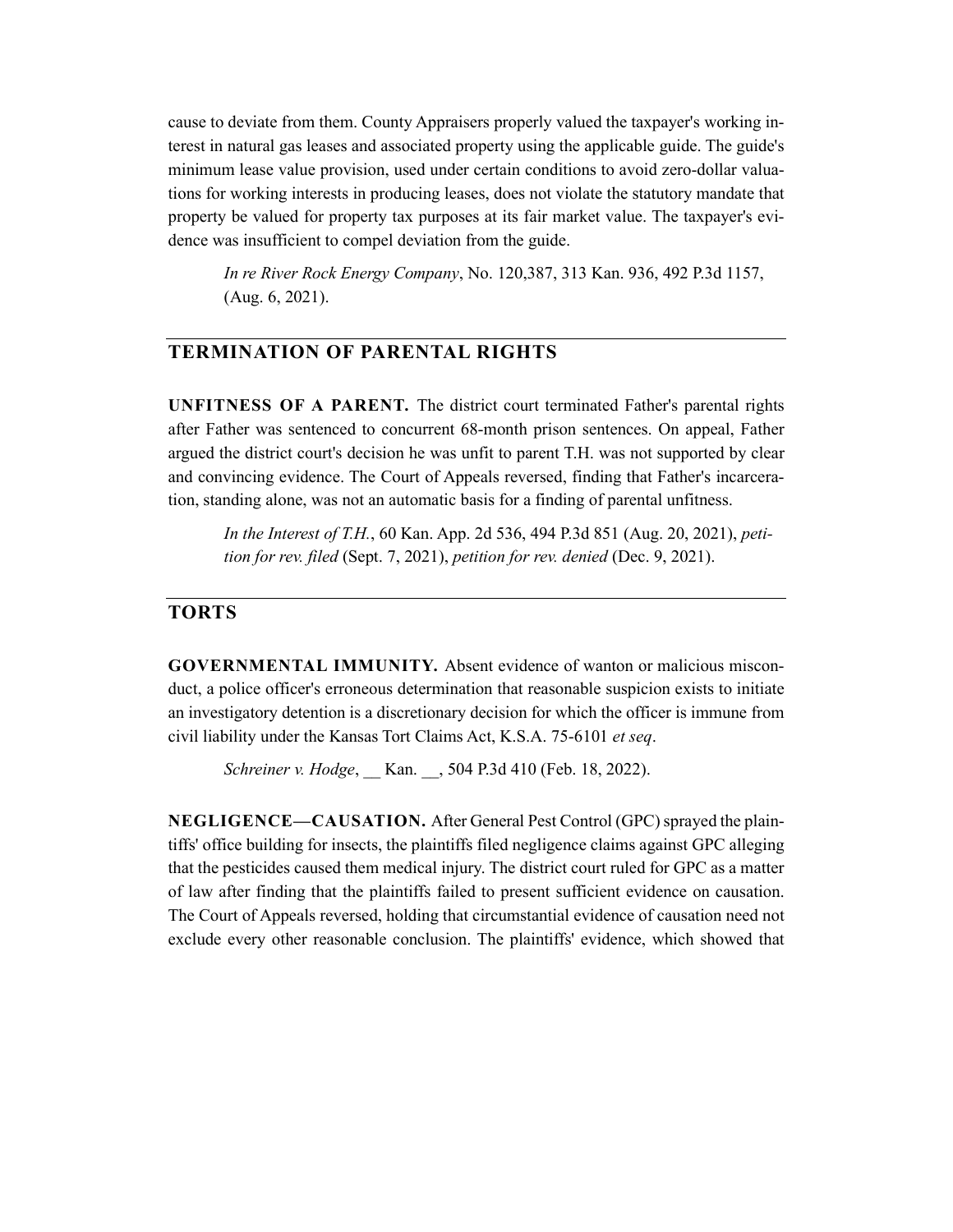cause to deviate from them. County Appraisers properly valued the taxpayer's working interest in natural gas leases and associated property using the applicable guide. The guide's minimum lease value provision, used under certain conditions to avoid zero-dollar valuations for working interests in producing leases, does not violate the statutory mandate that property be valued for property tax purposes at its fair market value. The taxpayer's evidence was insufficient to compel deviation from the guide.

*In re River Rock Energy Company*, No. 120,387, 313 Kan. 936, 492 P.3d 1157, (Aug. 6, 2021).

# **TERMINATION OF PARENTAL RIGHTS**

**UNFITNESS OF A PARENT.** The district court terminated Father's parental rights after Father was sentenced to concurrent 68-month prison sentences. On appeal, Father argued the district court's decision he was unfit to parent T.H. was not supported by clear and convincing evidence. The Court of Appeals reversed, finding that Father's incarceration, standing alone, was not an automatic basis for a finding of parental unfitness.

*In the Interest of T.H.*, 60 Kan. App. 2d 536, 494 P.3d 851 (Aug. 20, 2021), *petition for rev. filed* (Sept. 7, 2021), *petition for rev. denied* (Dec. 9, 2021).

#### **TORTS**

**GOVERNMENTAL IMMUNITY.** Absent evidence of wanton or malicious misconduct, a police officer's erroneous determination that reasonable suspicion exists to initiate an investigatory detention is a discretionary decision for which the officer is immune from civil liability under the Kansas Tort Claims Act, K.S.A. 75-6101 *et seq*.

*Schreiner v. Hodge*, \_\_ Kan. \_\_, 504 P.3d 410 (Feb. 18, 2022).

**NEGLIGENCE—CAUSATION.** After General Pest Control (GPC) sprayed the plaintiffs' office building for insects, the plaintiffs filed negligence claims against GPC alleging that the pesticides caused them medical injury. The district court ruled for GPC as a matter of law after finding that the plaintiffs failed to present sufficient evidence on causation. The Court of Appeals reversed, holding that circumstantial evidence of causation need not exclude every other reasonable conclusion. The plaintiffs' evidence, which showed that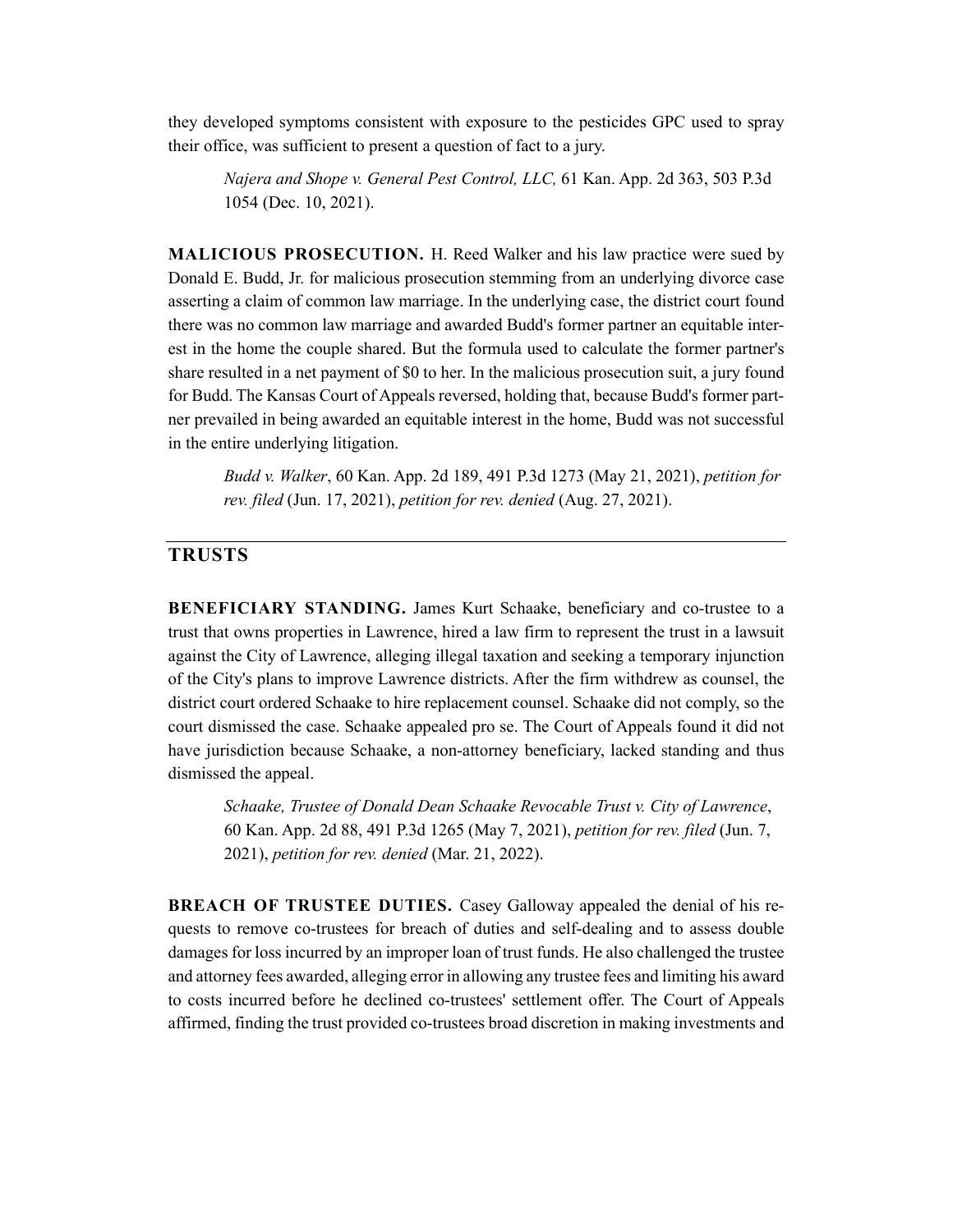they developed symptoms consistent with exposure to the pesticides GPC used to spray their office, was sufficient to present a question of fact to a jury.

*Najera and Shope v. General Pest Control, LLC,* 61 Kan. App. 2d 363, 503 P.3d 1054 (Dec. 10, 2021).

**MALICIOUS PROSECUTION.** H. Reed Walker and his law practice were sued by Donald E. Budd, Jr. for malicious prosecution stemming from an underlying divorce case asserting a claim of common law marriage. In the underlying case, the district court found there was no common law marriage and awarded Budd's former partner an equitable interest in the home the couple shared. But the formula used to calculate the former partner's share resulted in a net payment of \$0 to her. In the malicious prosecution suit, a jury found for Budd. The Kansas Court of Appeals reversed, holding that, because Budd's former partner prevailed in being awarded an equitable interest in the home, Budd was not successful in the entire underlying litigation.

*Budd v. Walker*, 60 Kan. App. 2d 189, 491 P.3d 1273 (May 21, 2021), *petition for rev. filed* (Jun. 17, 2021), *petition for rev. denied* (Aug. 27, 2021).

# **TRUSTS**

**BENEFICIARY STANDING.** James Kurt Schaake, beneficiary and co-trustee to a trust that owns properties in Lawrence, hired a law firm to represent the trust in a lawsuit against the City of Lawrence, alleging illegal taxation and seeking a temporary injunction of the City's plans to improve Lawrence districts. After the firm withdrew as counsel, the district court ordered Schaake to hire replacement counsel. Schaake did not comply, so the court dismissed the case. Schaake appealed pro se. The Court of Appeals found it did not have jurisdiction because Schaake, a non-attorney beneficiary, lacked standing and thus dismissed the appeal.

*Schaake, Trustee of Donald Dean Schaake Revocable Trust v. City of Lawrence*, 60 Kan. App. 2d 88, 491 P.3d 1265 (May 7, 2021), *petition for rev. filed* (Jun. 7, 2021), *petition for rev. denied* (Mar. 21, 2022).

**BREACH OF TRUSTEE DUTIES.** Casey Galloway appealed the denial of his requests to remove co-trustees for breach of duties and self-dealing and to assess double damages for loss incurred by an improper loan of trust funds. He also challenged the trustee and attorney fees awarded, alleging error in allowing any trustee fees and limiting his award to costs incurred before he declined co-trustees' settlement offer. The Court of Appeals affirmed, finding the trust provided co-trustees broad discretion in making investments and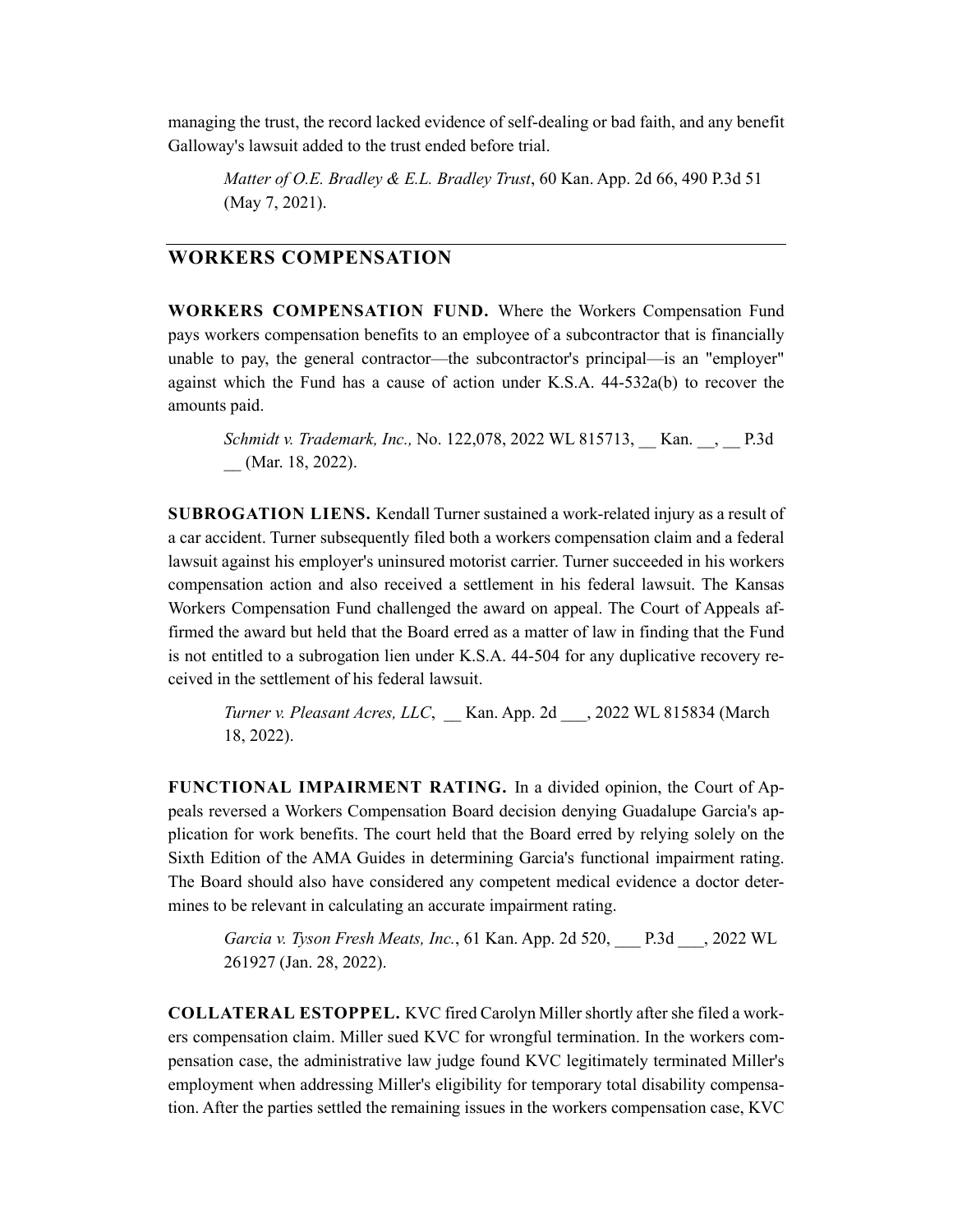managing the trust, the record lacked evidence of self-dealing or bad faith, and any benefit Galloway's lawsuit added to the trust ended before trial.

*Matter of O.E. Bradley & E.L. Bradley Trust*, 60 Kan. App. 2d 66, 490 P.3d 51 (May 7, 2021).

#### **WORKERS COMPENSATION**

**WORKERS COMPENSATION FUND.** Where the Workers Compensation Fund pays workers compensation benefits to an employee of a subcontractor that is financially unable to pay, the general contractor—the subcontractor's principal—is an "employer" against which the Fund has a cause of action under K.S.A. 44-532a(b) to recover the amounts paid.

*Schmidt v. Trademark, Inc.,* No. 122,078, 2022 WL 815713, \_\_ Kan. \_\_, \_\_ P.3d (Mar. 18, 2022).

**SUBROGATION LIENS.** Kendall Turner sustained a work-related injury as a result of a car accident. Turner subsequently filed both a workers compensation claim and a federal lawsuit against his employer's uninsured motorist carrier. Turner succeeded in his workers compensation action and also received a settlement in his federal lawsuit. The Kansas Workers Compensation Fund challenged the award on appeal. The Court of Appeals affirmed the award but held that the Board erred as a matter of law in finding that the Fund is not entitled to a subrogation lien under K.S.A. 44-504 for any duplicative recovery received in the settlement of his federal lawsuit.

*Turner v. Pleasant Acres, LLC*, \_\_ Kan. App. 2d \_\_\_, 2022 WL 815834 (March 18, 2022).

**FUNCTIONAL IMPAIRMENT RATING.** In a divided opinion, the Court of Appeals reversed a Workers Compensation Board decision denying Guadalupe Garcia's application for work benefits. The court held that the Board erred by relying solely on the Sixth Edition of the AMA Guides in determining Garcia's functional impairment rating. The Board should also have considered any competent medical evidence a doctor determines to be relevant in calculating an accurate impairment rating.

*Garcia v. Tyson Fresh Meats, Inc.*, 61 Kan. App. 2d 520, \_\_\_ P.3d \_\_\_, 2022 WL 261927 (Jan. 28, 2022).

**COLLATERAL ESTOPPEL.** KVC fired Carolyn Miller shortly after she filed a workers compensation claim. Miller sued KVC for wrongful termination. In the workers compensation case, the administrative law judge found KVC legitimately terminated Miller's employment when addressing Miller's eligibility for temporary total disability compensation. After the parties settled the remaining issues in the workers compensation case, KVC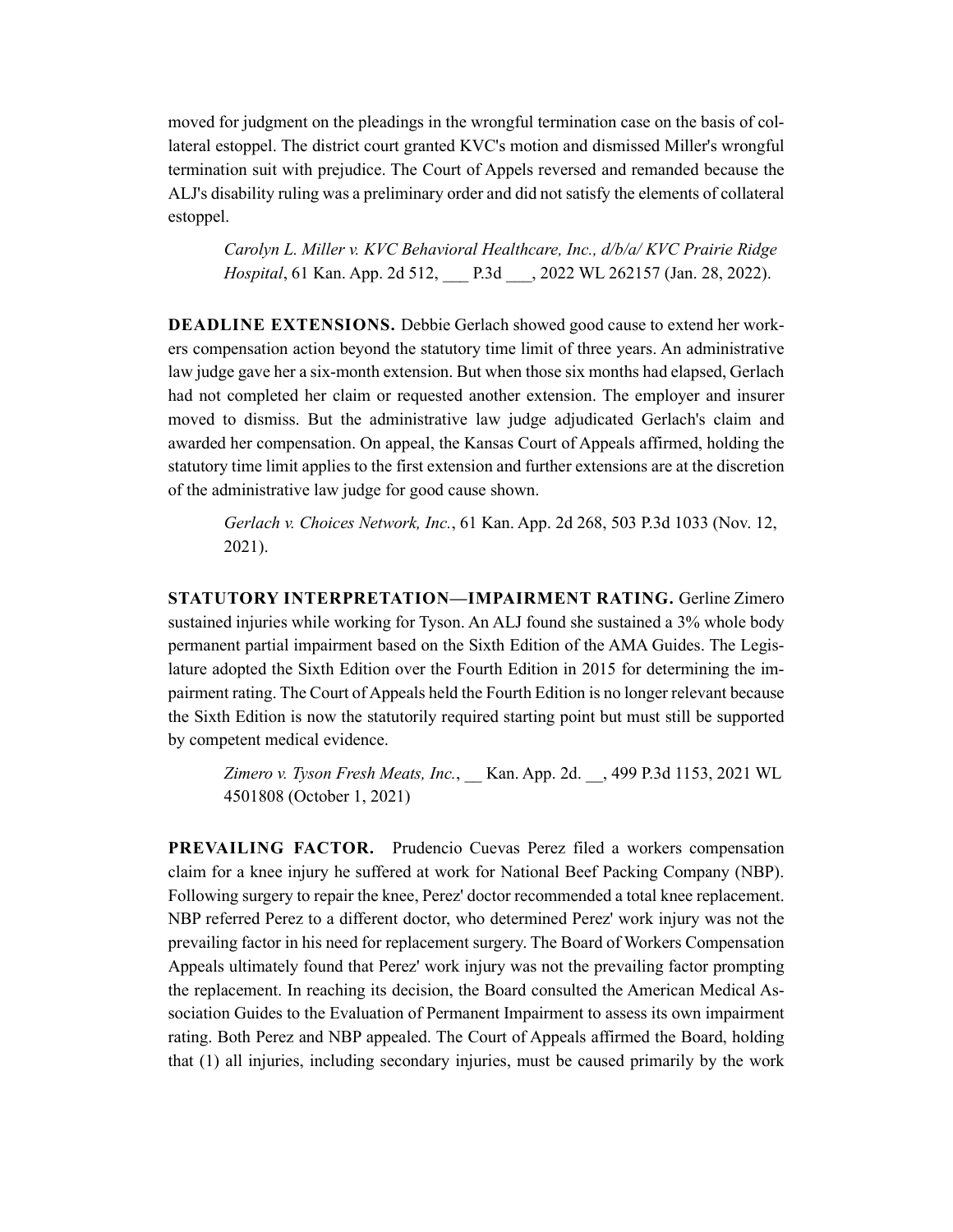moved for judgment on the pleadings in the wrongful termination case on the basis of collateral estoppel. The district court granted KVC's motion and dismissed Miller's wrongful termination suit with prejudice. The Court of Appels reversed and remanded because the ALJ's disability ruling was a preliminary order and did not satisfy the elements of collateral estoppel.

*Carolyn L. Miller v. KVC Behavioral Healthcare, Inc., d/b/a/ KVC Prairie Ridge Hospital*, 61 Kan. App. 2d 512, \_\_\_ P.3d \_\_\_, 2022 WL 262157 (Jan. 28, 2022).

**DEADLINE EXTENSIONS.** Debbie Gerlach showed good cause to extend her workers compensation action beyond the statutory time limit of three years. An administrative law judge gave her a six-month extension. But when those six months had elapsed, Gerlach had not completed her claim or requested another extension. The employer and insurer moved to dismiss. But the administrative law judge adjudicated Gerlach's claim and awarded her compensation. On appeal, the Kansas Court of Appeals affirmed, holding the statutory time limit applies to the first extension and further extensions are at the discretion of the administrative law judge for good cause shown.

*Gerlach v. Choices Network, Inc.*, 61 Kan. App. 2d 268, 503 P.3d 1033 (Nov. 12, 2021).

**STATUTORY INTERPRETATION—IMPAIRMENT RATING.** Gerline Zimero sustained injuries while working for Tyson. An ALJ found she sustained a 3% whole body permanent partial impairment based on the Sixth Edition of the AMA Guides. The Legislature adopted the Sixth Edition over the Fourth Edition in 2015 for determining the impairment rating. The Court of Appeals held the Fourth Edition is no longer relevant because the Sixth Edition is now the statutorily required starting point but must still be supported by competent medical evidence.

*Zimero v. Tyson Fresh Meats, Inc.*, \_\_ Kan. App. 2d. \_\_, 499 P.3d 1153, 2021 WL 4501808 (October 1, 2021)

**PREVAILING FACTOR.** Prudencio Cuevas Perez filed a workers compensation claim for a knee injury he suffered at work for National Beef Packing Company (NBP). Following surgery to repair the knee, Perez' doctor recommended a total knee replacement. NBP referred Perez to a different doctor, who determined Perez' work injury was not the prevailing factor in his need for replacement surgery. The Board of Workers Compensation Appeals ultimately found that Perez' work injury was not the prevailing factor prompting the replacement. In reaching its decision, the Board consulted the American Medical Association Guides to the Evaluation of Permanent Impairment to assess its own impairment rating. Both Perez and NBP appealed. The Court of Appeals affirmed the Board, holding that (1) all injuries, including secondary injuries, must be caused primarily by the work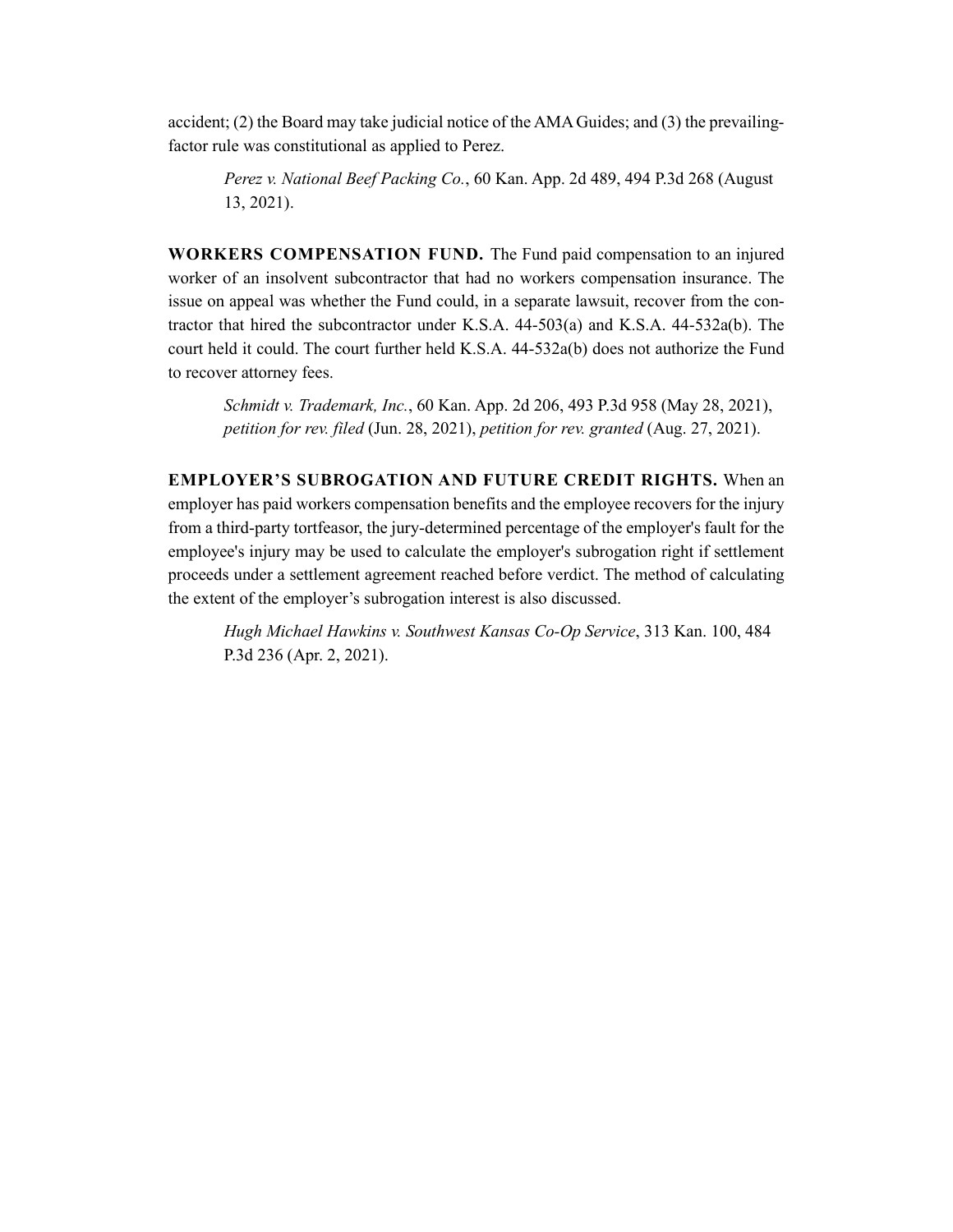accident; (2) the Board may take judicial notice of the AMA Guides; and (3) the prevailingfactor rule was constitutional as applied to Perez.

*Perez v. National Beef Packing Co.*, 60 Kan. App. 2d 489, 494 P.3d 268 (August 13, 2021).

**WORKERS COMPENSATION FUND.** The Fund paid compensation to an injured worker of an insolvent subcontractor that had no workers compensation insurance. The issue on appeal was whether the Fund could, in a separate lawsuit, recover from the contractor that hired the subcontractor under K.S.A. 44-503(a) and K.S.A. 44-532a(b). The court held it could. The court further held K.S.A. 44-532a(b) does not authorize the Fund to recover attorney fees.

*Schmidt v. Trademark, Inc.*, 60 Kan. App. 2d 206, 493 P.3d 958 (May 28, 2021), *petition for rev. filed* (Jun. 28, 2021), *petition for rev. granted* (Aug. 27, 2021).

**EMPLOYER'S SUBROGATION AND FUTURE CREDIT RIGHTS.** When an employer has paid workers compensation benefits and the employee recovers for the injury from a third-party tortfeasor, the jury-determined percentage of the employer's fault for the employee's injury may be used to calculate the employer's subrogation right if settlement proceeds under a settlement agreement reached before verdict. The method of calculating the extent of the employer's subrogation interest is also discussed.

*Hugh Michael Hawkins v. Southwest Kansas Co-Op Service*, 313 Kan. 100, 484 P.3d 236 (Apr. 2, 2021).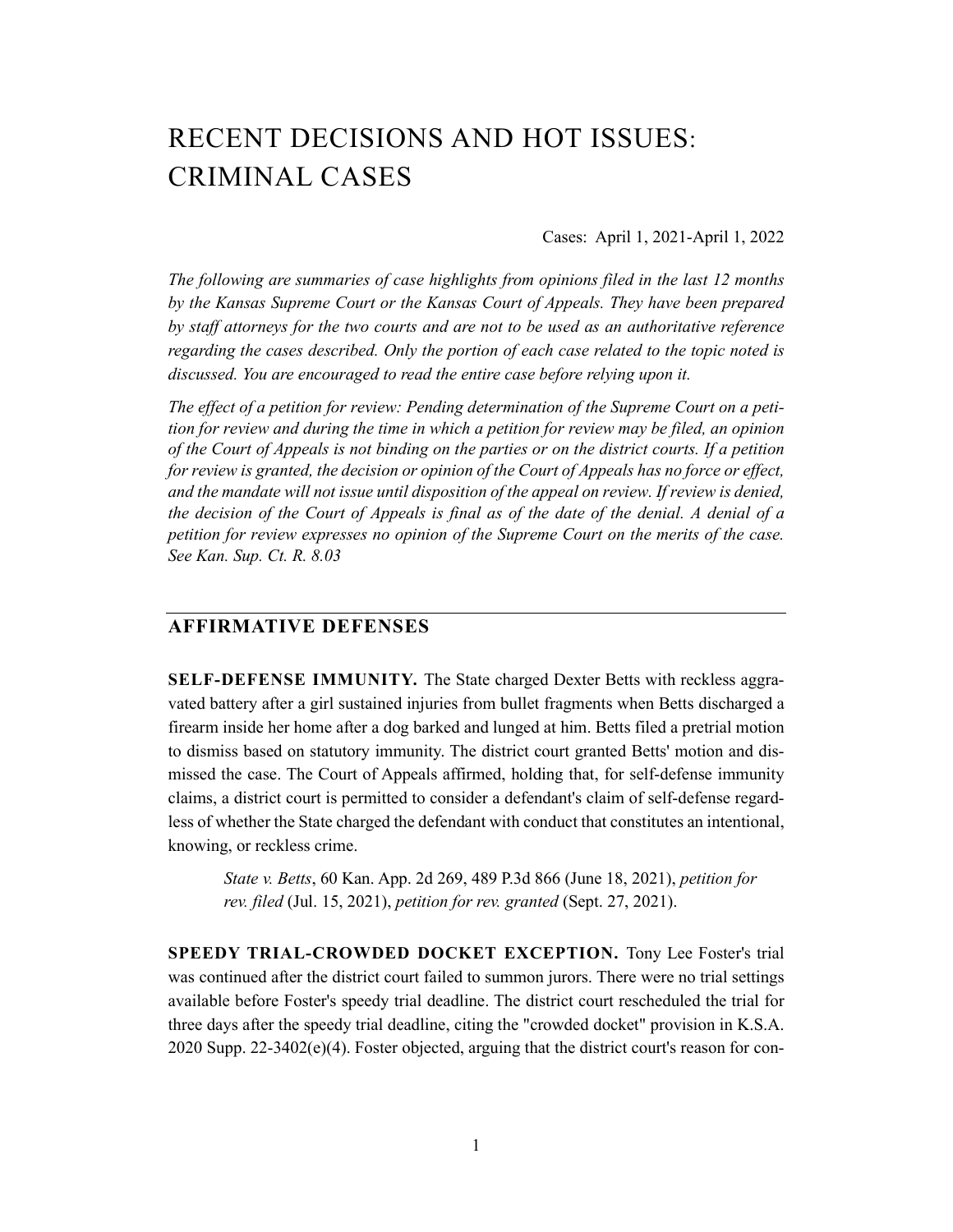# RECENT DECISIONS AND HOT ISSUES: CRIMINAL CASES

Cases: April 1, 2021-April 1, 2022

*The following are summaries of case highlights from opinions filed in the last 12 months by the Kansas Supreme Court or the Kansas Court of Appeals. They have been prepared by staff attorneys for the two courts and are not to be used as an authoritative reference regarding the cases described. Only the portion of each case related to the topic noted is discussed. You are encouraged to read the entire case before relying upon it.* 

*The effect of a petition for review: Pending determination of the Supreme Court on a petition for review and during the time in which a petition for review may be filed, an opinion of the Court of Appeals is not binding on the parties or on the district courts. If a petition for review is granted, the decision or opinion of the Court of Appeals has no force or effect, and the mandate will not issue until disposition of the appeal on review. If review is denied, the decision of the Court of Appeals is final as of the date of the denial. A denial of a petition for review expresses no opinion of the Supreme Court on the merits of the case. See Kan. Sup. Ct. R. 8.03* 

# **AFFIRMATIVE DEFENSES**

**SELF-DEFENSE IMMUNITY.** The State charged Dexter Betts with reckless aggravated battery after a girl sustained injuries from bullet fragments when Betts discharged a firearm inside her home after a dog barked and lunged at him. Betts filed a pretrial motion to dismiss based on statutory immunity. The district court granted Betts' motion and dismissed the case. The Court of Appeals affirmed, holding that, for self-defense immunity claims, a district court is permitted to consider a defendant's claim of self-defense regardless of whether the State charged the defendant with conduct that constitutes an intentional, knowing, or reckless crime.

*State v. Betts*, 60 Kan. App. 2d 269, 489 P.3d 866 (June 18, 2021), *petition for rev. filed* (Jul. 15, 2021), *petition for rev. granted* (Sept. 27, 2021).

**SPEEDY TRIAL-CROWDED DOCKET EXCEPTION.** Tony Lee Foster's trial was continued after the district court failed to summon jurors. There were no trial settings available before Foster's speedy trial deadline. The district court rescheduled the trial for three days after the speedy trial deadline, citing the "crowded docket" provision in K.S.A. 2020 Supp. 22-3402(e)(4). Foster objected, arguing that the district court's reason for con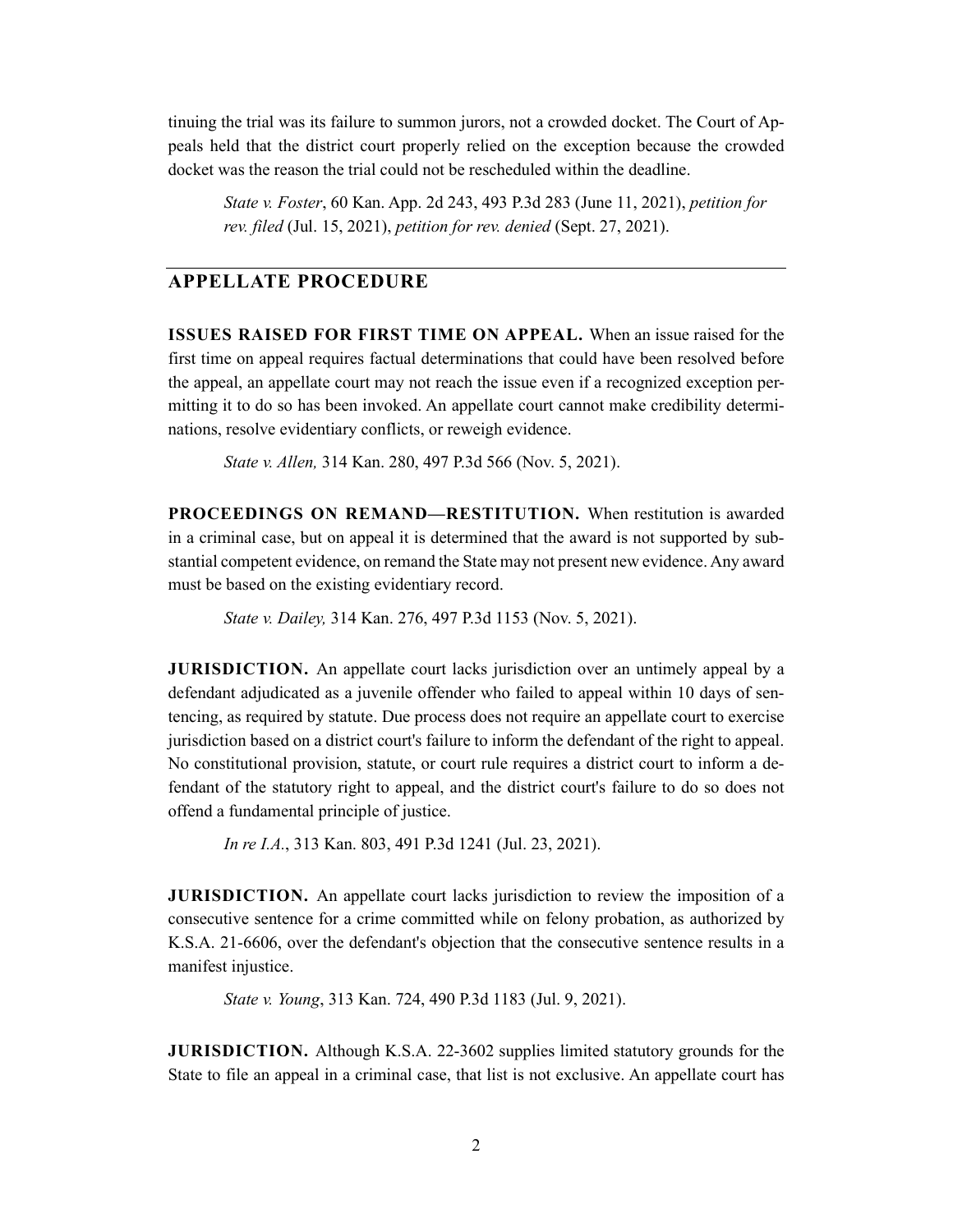tinuing the trial was its failure to summon jurors, not a crowded docket. The Court of Appeals held that the district court properly relied on the exception because the crowded docket was the reason the trial could not be rescheduled within the deadline.

*State v. Foster*, 60 Kan. App. 2d 243, 493 P.3d 283 (June 11, 2021), *petition for rev. filed* (Jul. 15, 2021), *petition for rev. denied* (Sept. 27, 2021).

# **APPELLATE PROCEDURE**

**ISSUES RAISED FOR FIRST TIME ON APPEAL.** When an issue raised for the first time on appeal requires factual determinations that could have been resolved before the appeal, an appellate court may not reach the issue even if a recognized exception permitting it to do so has been invoked. An appellate court cannot make credibility determinations, resolve evidentiary conflicts, or reweigh evidence.

*State v. Allen,* 314 Kan. 280, 497 P.3d 566 (Nov. 5, 2021).

**PROCEEDINGS ON REMAND—RESTITUTION.** When restitution is awarded in a criminal case, but on appeal it is determined that the award is not supported by substantial competent evidence, on remand the State may not present new evidence. Any award must be based on the existing evidentiary record.

*State v. Dailey,* 314 Kan. 276, 497 P.3d 1153 (Nov. 5, 2021).

**JURISDICTION.** An appellate court lacks jurisdiction over an untimely appeal by a defendant adjudicated as a juvenile offender who failed to appeal within 10 days of sentencing, as required by statute. Due process does not require an appellate court to exercise jurisdiction based on a district court's failure to inform the defendant of the right to appeal. No constitutional provision, statute, or court rule requires a district court to inform a defendant of the statutory right to appeal, and the district court's failure to do so does not offend a fundamental principle of justice.

*In re I.A.*, 313 Kan. 803, 491 P.3d 1241 (Jul. 23, 2021).

**JURISDICTION.** An appellate court lacks jurisdiction to review the imposition of a consecutive sentence for a crime committed while on felony probation, as authorized by K.S.A. 21-6606, over the defendant's objection that the consecutive sentence results in a manifest injustice.

*State v. Young*, 313 Kan. 724, 490 P.3d 1183 (Jul. 9, 2021).

**JURISDICTION.** Although K.S.A. 22-3602 supplies limited statutory grounds for the State to file an appeal in a criminal case, that list is not exclusive. An appellate court has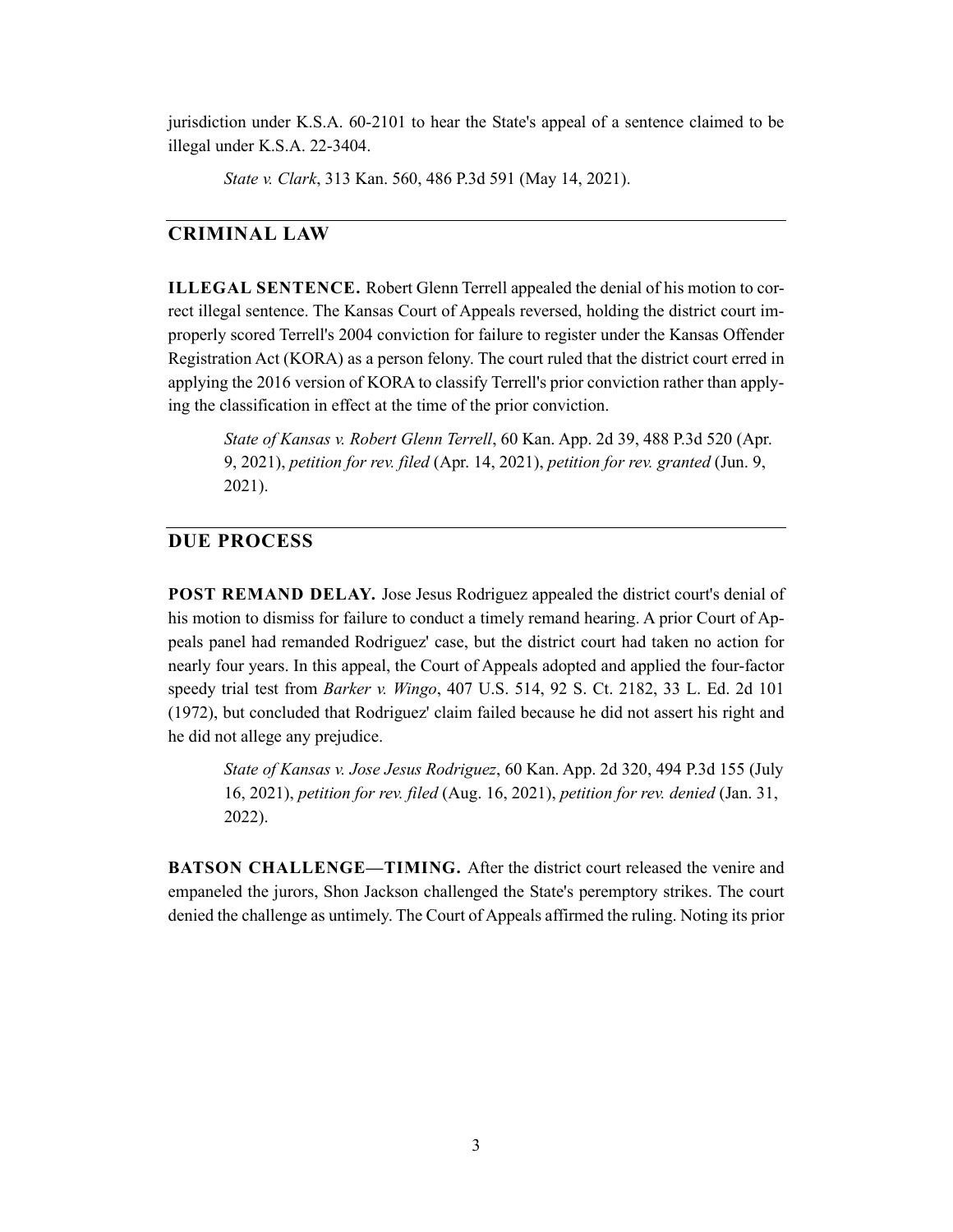jurisdiction under K.S.A. 60-2101 to hear the State's appeal of a sentence claimed to be illegal under K.S.A. 22-3404.

*State v. Clark*, 313 Kan. 560, 486 P.3d 591 (May 14, 2021).

# **CRIMINAL LAW**

**ILLEGAL SENTENCE.** Robert Glenn Terrell appealed the denial of his motion to correct illegal sentence. The Kansas Court of Appeals reversed, holding the district court improperly scored Terrell's 2004 conviction for failure to register under the Kansas Offender Registration Act (KORA) as a person felony. The court ruled that the district court erred in applying the 2016 version of KORA to classify Terrell's prior conviction rather than applying the classification in effect at the time of the prior conviction.

*State of Kansas v. Robert Glenn Terrell*, 60 Kan. App. 2d 39, 488 P.3d 520 (Apr. 9, 2021), *petition for rev. filed* (Apr. 14, 2021), *petition for rev. granted* (Jun. 9, 2021).

#### **DUE PROCESS**

**POST REMAND DELAY.** Jose Jesus Rodriguez appealed the district court's denial of his motion to dismiss for failure to conduct a timely remand hearing. A prior Court of Appeals panel had remanded Rodriguez' case, but the district court had taken no action for nearly four years. In this appeal, the Court of Appeals adopted and applied the four-factor speedy trial test from *Barker v. Wingo*, 407 U.S. 514, 92 S. Ct. 2182, 33 L. Ed. 2d 101 (1972), but concluded that Rodriguez' claim failed because he did not assert his right and he did not allege any prejudice.

*State of Kansas v. Jose Jesus Rodriguez*, 60 Kan. App. 2d 320, 494 P.3d 155 (July 16, 2021), *petition for rev. filed* (Aug. 16, 2021), *petition for rev. denied* (Jan. 31, 2022).

**BATSON CHALLENGE—TIMING.** After the district court released the venire and empaneled the jurors, Shon Jackson challenged the State's peremptory strikes. The court denied the challenge as untimely. The Court of Appeals affirmed the ruling. Noting its prior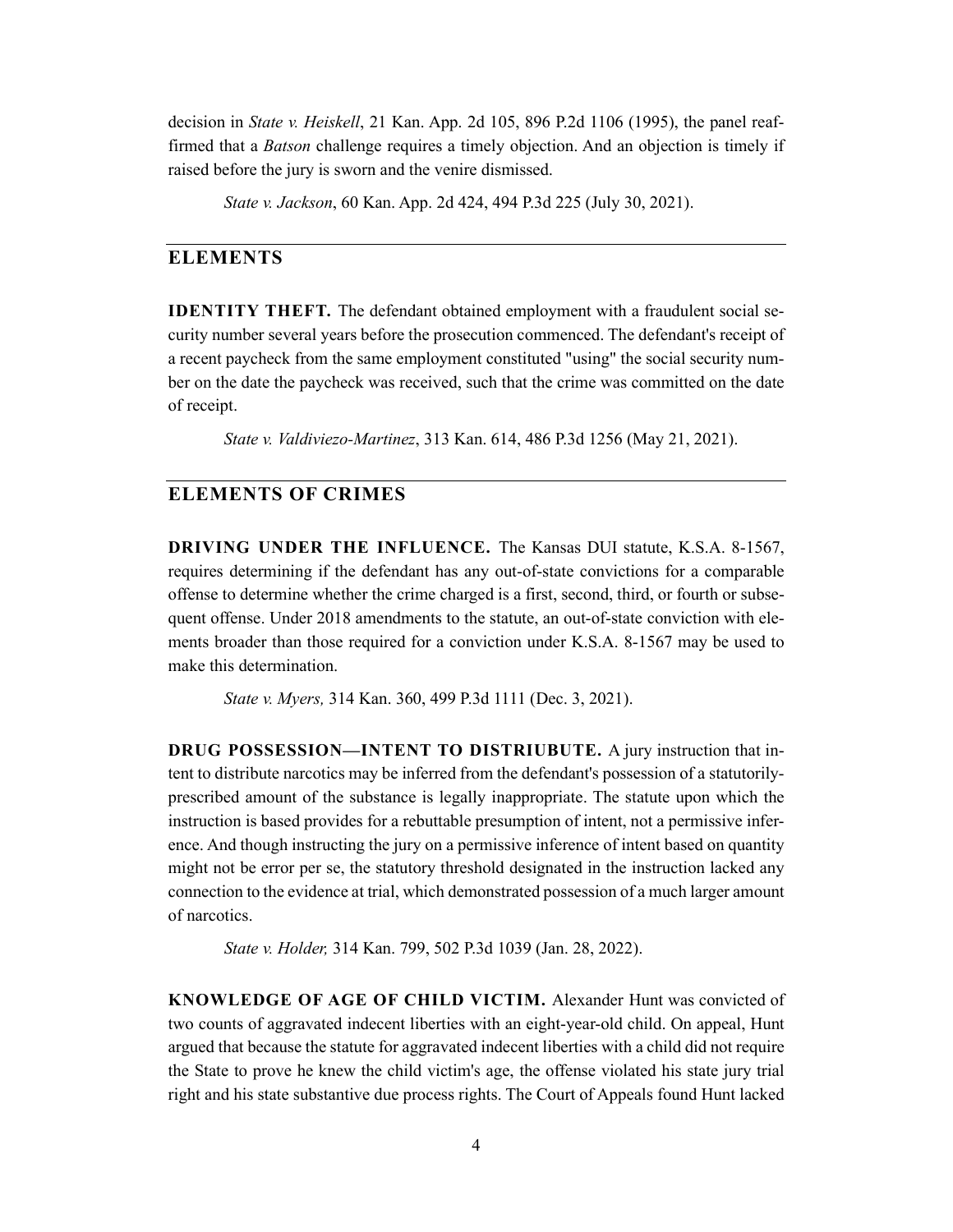decision in *State v. Heiskell*, 21 Kan. App. 2d 105, 896 P.2d 1106 (1995), the panel reaffirmed that a *Batson* challenge requires a timely objection. And an objection is timely if raised before the jury is sworn and the venire dismissed.

*State v. Jackson*, 60 Kan. App. 2d 424, 494 P.3d 225 (July 30, 2021).

#### **ELEMENTS**

**IDENTITY THEFT.** The defendant obtained employment with a fraudulent social security number several years before the prosecution commenced. The defendant's receipt of a recent paycheck from the same employment constituted "using" the social security number on the date the paycheck was received, such that the crime was committed on the date of receipt.

*State v. Valdiviezo-Martinez*, 313 Kan. 614, 486 P.3d 1256 (May 21, 2021).

#### **ELEMENTS OF CRIMES**

**DRIVING UNDER THE INFLUENCE.** The Kansas DUI statute, K.S.A. 8-1567, requires determining if the defendant has any out-of-state convictions for a comparable offense to determine whether the crime charged is a first, second, third, or fourth or subsequent offense. Under 2018 amendments to the statute, an out-of-state conviction with elements broader than those required for a conviction under K.S.A. 8-1567 may be used to make this determination.

*State v. Myers,* 314 Kan. 360, 499 P.3d 1111 (Dec. 3, 2021).

**DRUG POSSESSION—INTENT TO DISTRIUBUTE.** A jury instruction that intent to distribute narcotics may be inferred from the defendant's possession of a statutorilyprescribed amount of the substance is legally inappropriate. The statute upon which the instruction is based provides for a rebuttable presumption of intent, not a permissive inference. And though instructing the jury on a permissive inference of intent based on quantity might not be error per se, the statutory threshold designated in the instruction lacked any connection to the evidence at trial, which demonstrated possession of a much larger amount of narcotics.

*State v. Holder,* 314 Kan. 799, 502 P.3d 1039 (Jan. 28, 2022).

**KNOWLEDGE OF AGE OF CHILD VICTIM.** Alexander Hunt was convicted of two counts of aggravated indecent liberties with an eight-year-old child. On appeal, Hunt argued that because the statute for aggravated indecent liberties with a child did not require the State to prove he knew the child victim's age, the offense violated his state jury trial right and his state substantive due process rights. The Court of Appeals found Hunt lacked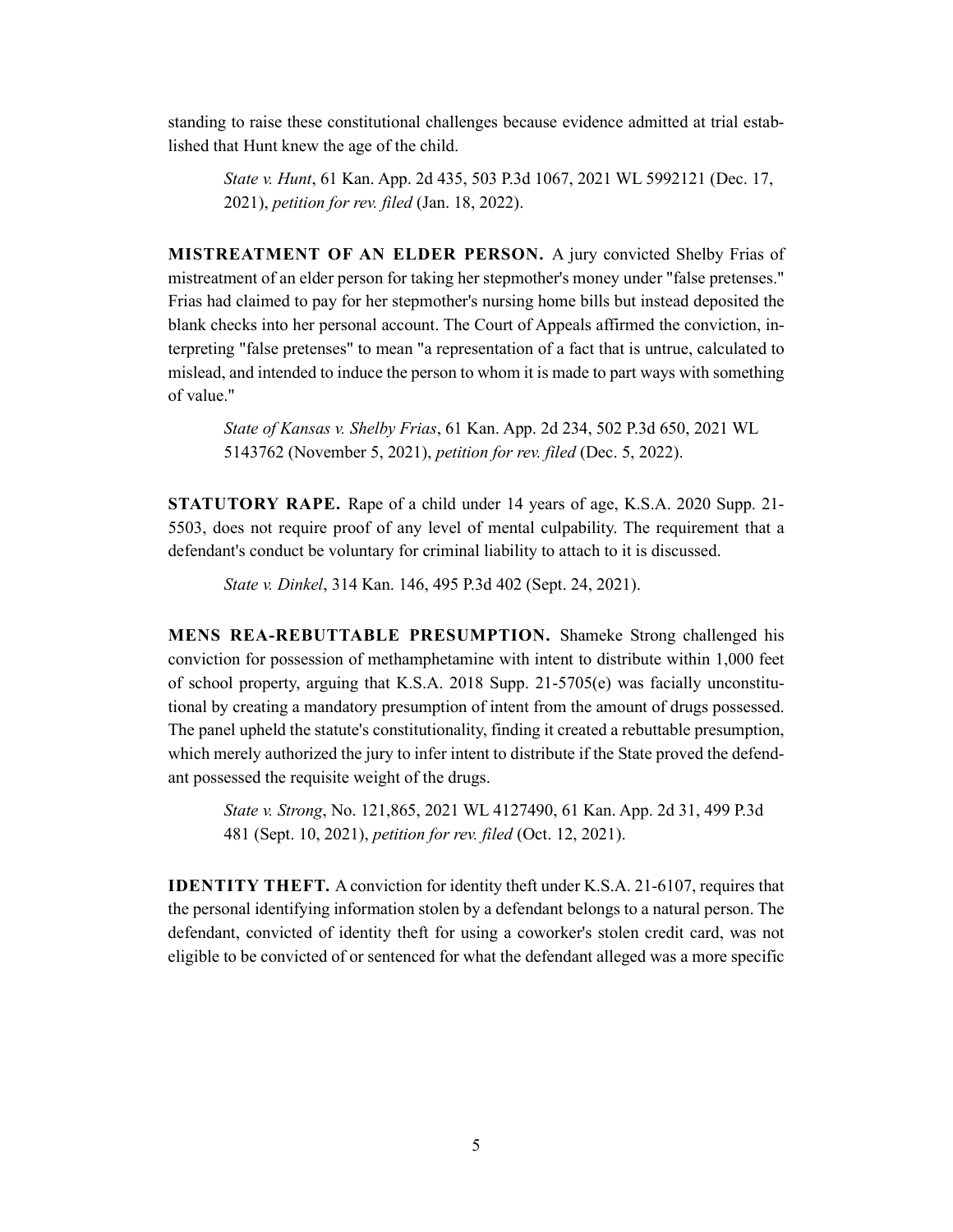standing to raise these constitutional challenges because evidence admitted at trial established that Hunt knew the age of the child.

*State v. Hunt*, 61 Kan. App. 2d 435, 503 P.3d 1067, 2021 WL 5992121 (Dec. 17, 2021), *petition for rev. filed* (Jan. 18, 2022).

**MISTREATMENT OF AN ELDER PERSON.** A jury convicted Shelby Frias of mistreatment of an elder person for taking her stepmother's money under "false pretenses." Frias had claimed to pay for her stepmother's nursing home bills but instead deposited the blank checks into her personal account. The Court of Appeals affirmed the conviction, interpreting "false pretenses" to mean "a representation of a fact that is untrue, calculated to mislead, and intended to induce the person to whom it is made to part ways with something of value."

*State of Kansas v. Shelby Frias*, 61 Kan. App. 2d 234, 502 P.3d 650, 2021 WL 5143762 (November 5, 2021), *petition for rev. filed* (Dec. 5, 2022).

**STATUTORY RAPE.** Rape of a child under 14 years of age, K.S.A. 2020 Supp. 21- 5503, does not require proof of any level of mental culpability. The requirement that a defendant's conduct be voluntary for criminal liability to attach to it is discussed.

*State v. Dinkel*, 314 Kan. 146, 495 P.3d 402 (Sept. 24, 2021).

**MENS REA-REBUTTABLE PRESUMPTION.** Shameke Strong challenged his conviction for possession of methamphetamine with intent to distribute within 1,000 feet of school property, arguing that K.S.A. 2018 Supp. 21-5705(e) was facially unconstitutional by creating a mandatory presumption of intent from the amount of drugs possessed. The panel upheld the statute's constitutionality, finding it created a rebuttable presumption, which merely authorized the jury to infer intent to distribute if the State proved the defendant possessed the requisite weight of the drugs.

*State v. Strong*, No. 121,865, 2021 WL 4127490, 61 Kan. App. 2d 31, 499 P.3d 481 (Sept. 10, 2021), *petition for rev. filed* (Oct. 12, 2021).

**IDENTITY THEFT.** A conviction for identity theft under K.S.A. 21-6107, requires that the personal identifying information stolen by a defendant belongs to a natural person. The defendant, convicted of identity theft for using a coworker's stolen credit card, was not eligible to be convicted of or sentenced for what the defendant alleged was a more specific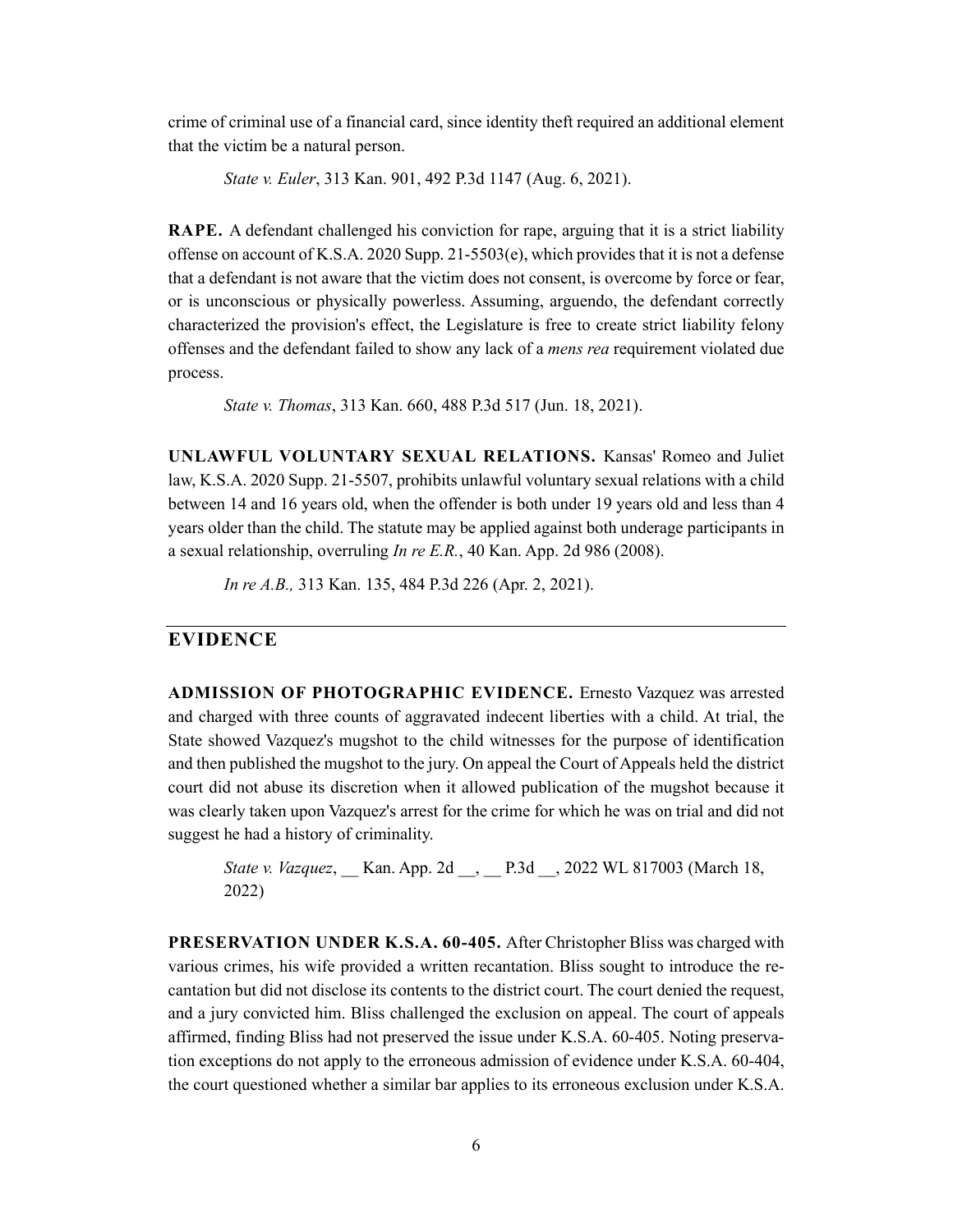crime of criminal use of a financial card, since identity theft required an additional element that the victim be a natural person.

*State v. Euler*, 313 Kan. 901, 492 P.3d 1147 (Aug. 6, 2021).

**RAPE.** A defendant challenged his conviction for rape, arguing that it is a strict liability offense on account of K.S.A. 2020 Supp.  $21-5503(e)$ , which provides that it is not a defense that a defendant is not aware that the victim does not consent, is overcome by force or fear, or is unconscious or physically powerless. Assuming, arguendo, the defendant correctly characterized the provision's effect, the Legislature is free to create strict liability felony offenses and the defendant failed to show any lack of a *mens rea* requirement violated due process.

*State v. Thomas*, 313 Kan. 660, 488 P.3d 517 (Jun. 18, 2021).

**UNLAWFUL VOLUNTARY SEXUAL RELATIONS.** Kansas' Romeo and Juliet law, K.S.A. 2020 Supp. 21-5507, prohibits unlawful voluntary sexual relations with a child between 14 and 16 years old, when the offender is both under 19 years old and less than 4 years older than the child. The statute may be applied against both underage participants in a sexual relationship, overruling *In re E.R.*, 40 Kan. App. 2d 986 (2008).

*In re A.B.,* 313 Kan. 135, 484 P.3d 226 (Apr. 2, 2021).

#### **EVIDENCE**

**ADMISSION OF PHOTOGRAPHIC EVIDENCE.** Ernesto Vazquez was arrested and charged with three counts of aggravated indecent liberties with a child. At trial, the State showed Vazquez's mugshot to the child witnesses for the purpose of identification and then published the mugshot to the jury. On appeal the Court of Appeals held the district court did not abuse its discretion when it allowed publication of the mugshot because it was clearly taken upon Vazquez's arrest for the crime for which he was on trial and did not suggest he had a history of criminality.

```
State v. Vazquez, Kan. App. 2d , P.3d , 2022 WL 817003 (March 18,
2022)
```
**PRESERVATION UNDER K.S.A. 60-405.** After Christopher Bliss was charged with various crimes, his wife provided a written recantation. Bliss sought to introduce the recantation but did not disclose its contents to the district court. The court denied the request, and a jury convicted him. Bliss challenged the exclusion on appeal. The court of appeals affirmed, finding Bliss had not preserved the issue under K.S.A. 60-405. Noting preservation exceptions do not apply to the erroneous admission of evidence under K.S.A. 60-404, the court questioned whether a similar bar applies to its erroneous exclusion under K.S.A.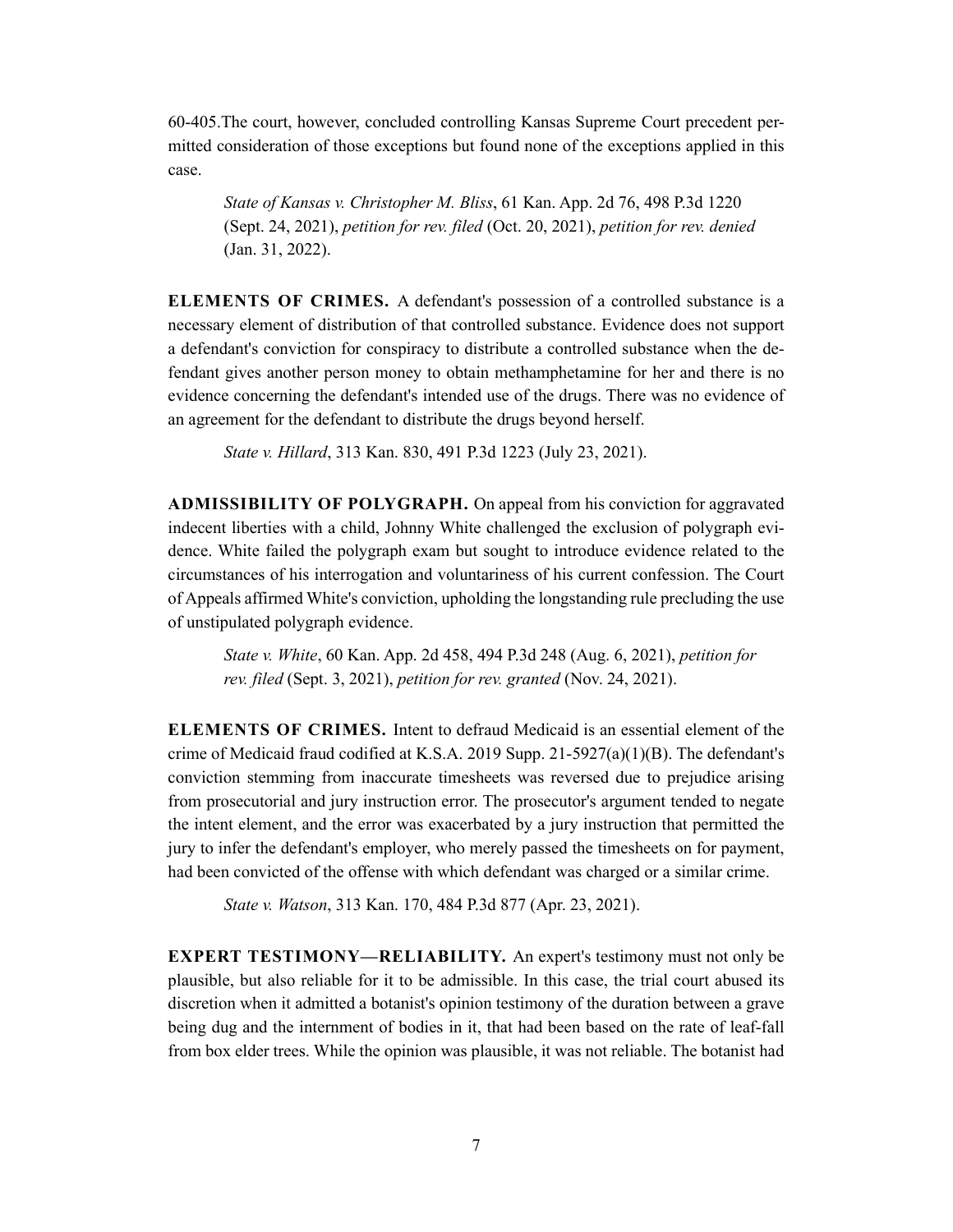60-405.The court, however, concluded controlling Kansas Supreme Court precedent permitted consideration of those exceptions but found none of the exceptions applied in this case.

*State of Kansas v. Christopher M. Bliss*, 61 Kan. App. 2d 76, 498 P.3d 1220 (Sept. 24, 2021), *petition for rev. filed* (Oct. 20, 2021), *petition for rev. denied* (Jan. 31, 2022).

**ELEMENTS OF CRIMES.** A defendant's possession of a controlled substance is a necessary element of distribution of that controlled substance. Evidence does not support a defendant's conviction for conspiracy to distribute a controlled substance when the defendant gives another person money to obtain methamphetamine for her and there is no evidence concerning the defendant's intended use of the drugs. There was no evidence of an agreement for the defendant to distribute the drugs beyond herself.

*State v. Hillard*, 313 Kan. 830, 491 P.3d 1223 (July 23, 2021).

**ADMISSIBILITY OF POLYGRAPH.** On appeal from his conviction for aggravated indecent liberties with a child, Johnny White challenged the exclusion of polygraph evidence. White failed the polygraph exam but sought to introduce evidence related to the circumstances of his interrogation and voluntariness of his current confession. The Court of Appeals affirmed White's conviction, upholding the longstanding rule precluding the use of unstipulated polygraph evidence.

*State v. White*, 60 Kan. App. 2d 458, 494 P.3d 248 (Aug. 6, 2021), *petition for rev. filed* (Sept. 3, 2021), *petition for rev. granted* (Nov. 24, 2021).

**ELEMENTS OF CRIMES.** Intent to defraud Medicaid is an essential element of the crime of Medicaid fraud codified at K.S.A. 2019 Supp. 21-5927(a)(1)(B). The defendant's conviction stemming from inaccurate timesheets was reversed due to prejudice arising from prosecutorial and jury instruction error. The prosecutor's argument tended to negate the intent element, and the error was exacerbated by a jury instruction that permitted the jury to infer the defendant's employer, who merely passed the timesheets on for payment, had been convicted of the offense with which defendant was charged or a similar crime.

*State v. Watson*, 313 Kan. 170, 484 P.3d 877 (Apr. 23, 2021).

**EXPERT TESTIMONY—RELIABILITY.** An expert's testimony must not only be plausible, but also reliable for it to be admissible. In this case, the trial court abused its discretion when it admitted a botanist's opinion testimony of the duration between a grave being dug and the internment of bodies in it, that had been based on the rate of leaf-fall from box elder trees. While the opinion was plausible, it was not reliable. The botanist had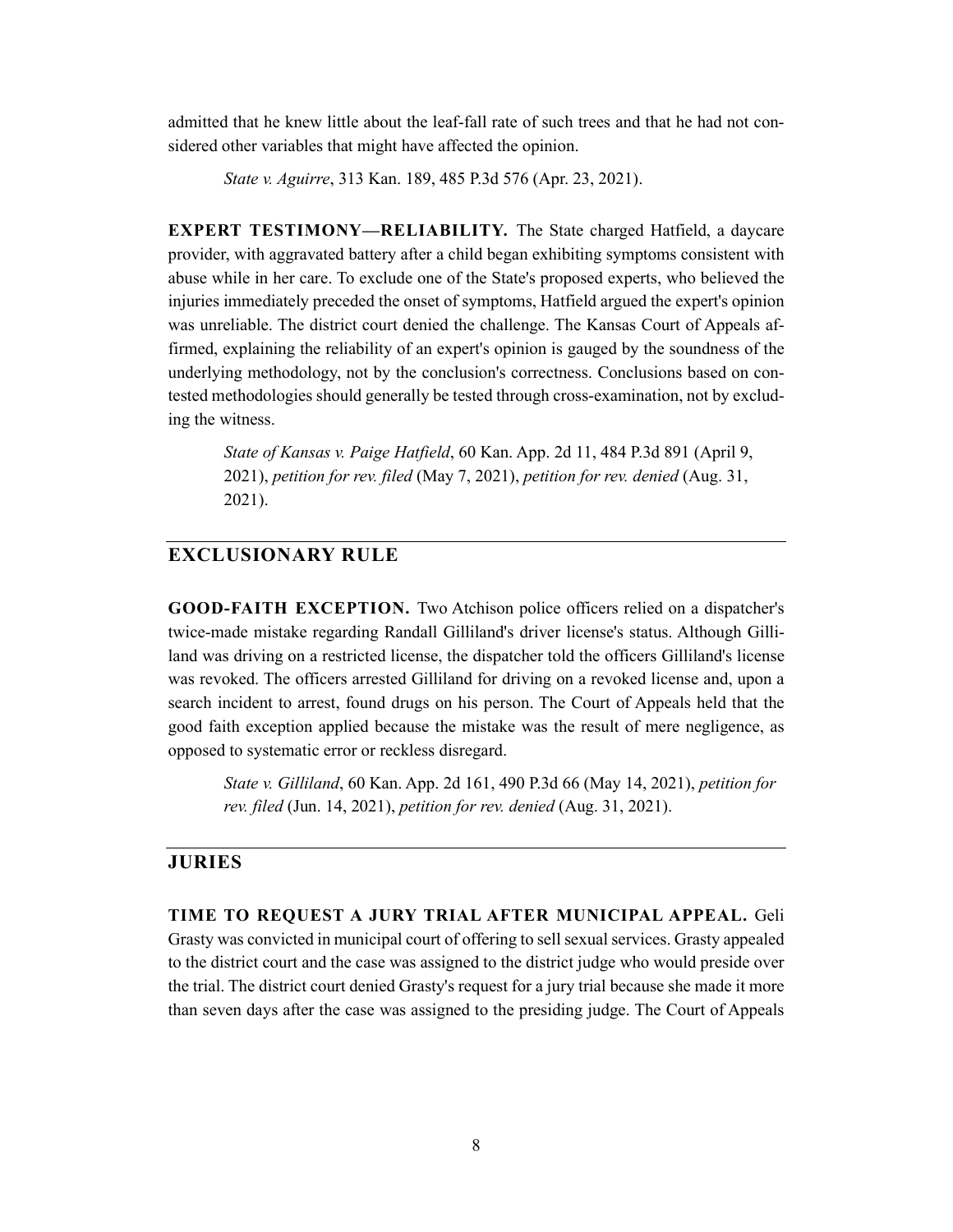admitted that he knew little about the leaf-fall rate of such trees and that he had not considered other variables that might have affected the opinion.

*State v. Aguirre*, 313 Kan. 189, 485 P.3d 576 (Apr. 23, 2021).

**EXPERT TESTIMONY—RELIABILITY.** The State charged Hatfield, a daycare provider, with aggravated battery after a child began exhibiting symptoms consistent with abuse while in her care. To exclude one of the State's proposed experts, who believed the injuries immediately preceded the onset of symptoms, Hatfield argued the expert's opinion was unreliable. The district court denied the challenge. The Kansas Court of Appeals affirmed, explaining the reliability of an expert's opinion is gauged by the soundness of the underlying methodology, not by the conclusion's correctness. Conclusions based on contested methodologies should generally be tested through cross-examination, not by excluding the witness.

*State of Kansas v. Paige Hatfield*, 60 Kan. App. 2d 11, 484 P.3d 891 (April 9, 2021), *petition for rev. filed* (May 7, 2021), *petition for rev. denied* (Aug. 31, 2021).

#### **EXCLUSIONARY RULE**

**GOOD-FAITH EXCEPTION.** Two Atchison police officers relied on a dispatcher's twice-made mistake regarding Randall Gilliland's driver license's status. Although Gilliland was driving on a restricted license, the dispatcher told the officers Gilliland's license was revoked. The officers arrested Gilliland for driving on a revoked license and, upon a search incident to arrest, found drugs on his person. The Court of Appeals held that the good faith exception applied because the mistake was the result of mere negligence, as opposed to systematic error or reckless disregard.

*State v. Gilliland*, 60 Kan. App. 2d 161, 490 P.3d 66 (May 14, 2021), *petition for rev. filed* (Jun. 14, 2021), *petition for rev. denied* (Aug. 31, 2021).

#### **JURIES**

**TIME TO REQUEST A JURY TRIAL AFTER MUNICIPAL APPEAL.** Geli Grasty was convicted in municipal court of offering to sell sexual services. Grasty appealed to the district court and the case was assigned to the district judge who would preside over the trial. The district court denied Grasty's request for a jury trial because she made it more than seven days after the case was assigned to the presiding judge. The Court of Appeals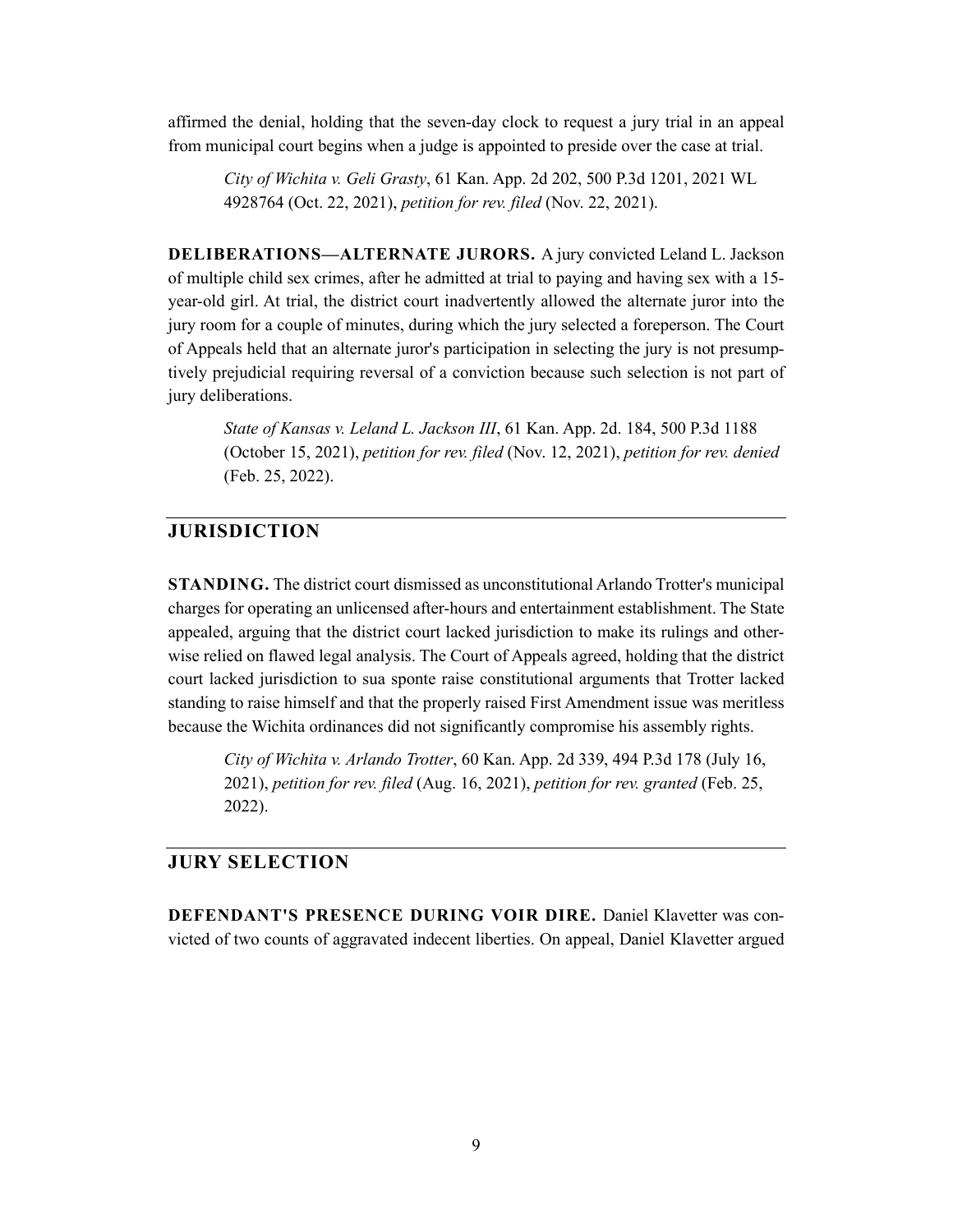affirmed the denial, holding that the seven-day clock to request a jury trial in an appeal from municipal court begins when a judge is appointed to preside over the case at trial.

*City of Wichita v. Geli Grasty*, 61 Kan. App. 2d 202, 500 P.3d 1201, 2021 WL 4928764 (Oct. 22, 2021), *petition for rev. filed* (Nov. 22, 2021).

**DELIBERATIONS—ALTERNATE JURORS.** A jury convicted Leland L. Jackson of multiple child sex crimes, after he admitted at trial to paying and having sex with a 15 year-old girl. At trial, the district court inadvertently allowed the alternate juror into the jury room for a couple of minutes, during which the jury selected a foreperson. The Court of Appeals held that an alternate juror's participation in selecting the jury is not presumptively prejudicial requiring reversal of a conviction because such selection is not part of jury deliberations.

*State of Kansas v. Leland L. Jackson III*, 61 Kan. App. 2d. 184, 500 P.3d 1188 (October 15, 2021), *petition for rev. filed* (Nov. 12, 2021), *petition for rev. denied* (Feb. 25, 2022).

### **JURISDICTION**

**STANDING.** The district court dismissed as unconstitutional Arlando Trotter's municipal charges for operating an unlicensed after-hours and entertainment establishment. The State appealed, arguing that the district court lacked jurisdiction to make its rulings and otherwise relied on flawed legal analysis. The Court of Appeals agreed, holding that the district court lacked jurisdiction to sua sponte raise constitutional arguments that Trotter lacked standing to raise himself and that the properly raised First Amendment issue was meritless because the Wichita ordinances did not significantly compromise his assembly rights.

*City of Wichita v. Arlando Trotter*, 60 Kan. App. 2d 339, 494 P.3d 178 (July 16, 2021), *petition for rev. filed* (Aug. 16, 2021), *petition for rev. granted* (Feb. 25, 2022).

# **JURY SELECTION**

**DEFENDANT'S PRESENCE DURING VOIR DIRE.** Daniel Klavetter was convicted of two counts of aggravated indecent liberties. On appeal, Daniel Klavetter argued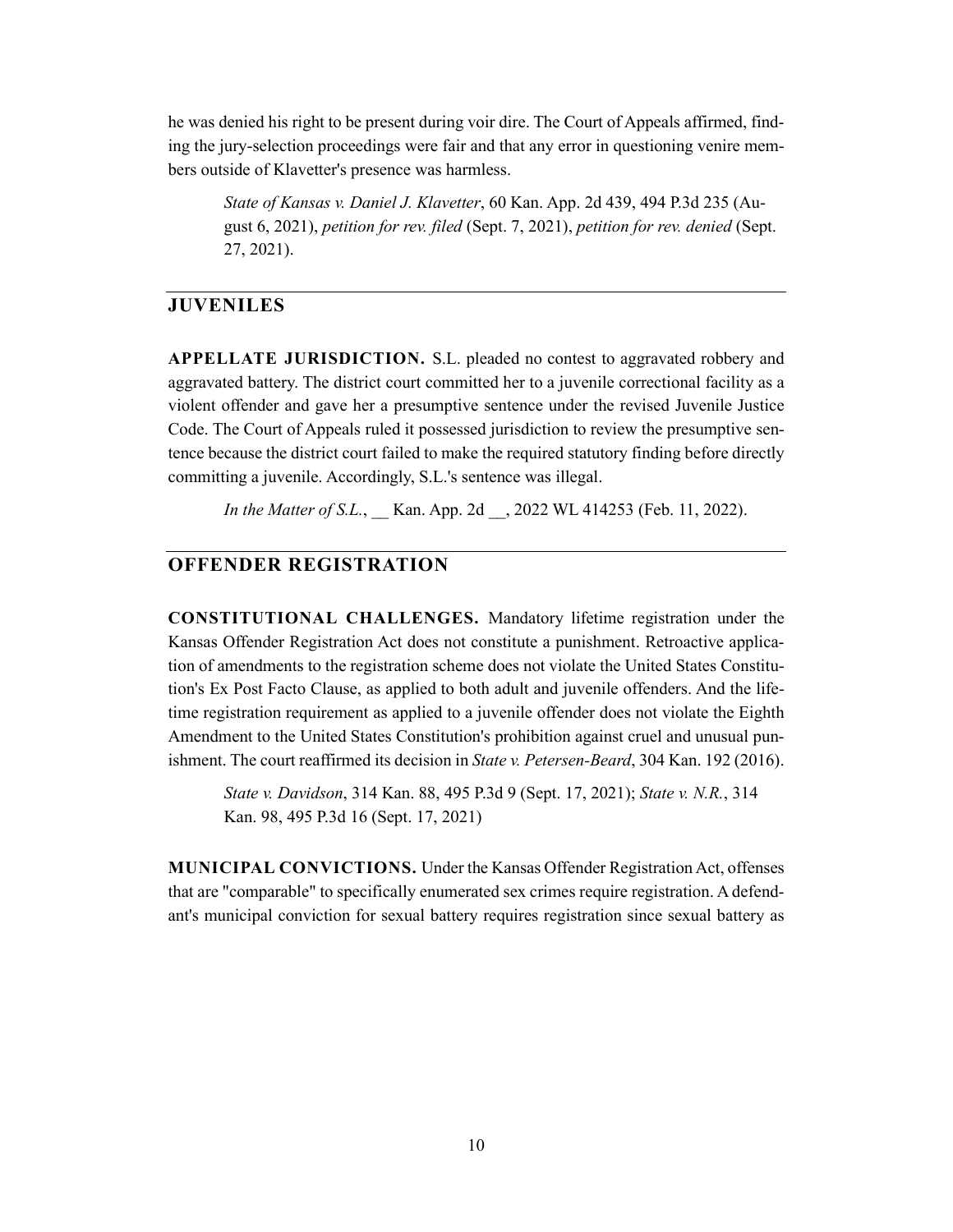he was denied his right to be present during voir dire. The Court of Appeals affirmed, finding the jury-selection proceedings were fair and that any error in questioning venire members outside of Klavetter's presence was harmless.

*State of Kansas v. Daniel J. Klavetter*, 60 Kan. App. 2d 439, 494 P.3d 235 (August 6, 2021), *petition for rev. filed* (Sept. 7, 2021), *petition for rev. denied* (Sept. 27, 2021).

#### **JUVENILES**

**APPELLATE JURISDICTION.** S.L. pleaded no contest to aggravated robbery and aggravated battery. The district court committed her to a juvenile correctional facility as a violent offender and gave her a presumptive sentence under the revised Juvenile Justice Code. The Court of Appeals ruled it possessed jurisdiction to review the presumptive sentence because the district court failed to make the required statutory finding before directly committing a juvenile. Accordingly, S.L.'s sentence was illegal.

*In the Matter of S.L.*, Kan. App. 2d , 2022 WL 414253 (Feb. 11, 2022).

# **OFFENDER REGISTRATION**

**CONSTITUTIONAL CHALLENGES.** Mandatory lifetime registration under the Kansas Offender Registration Act does not constitute a punishment. Retroactive application of amendments to the registration scheme does not violate the United States Constitution's Ex Post Facto Clause, as applied to both adult and juvenile offenders. And the lifetime registration requirement as applied to a juvenile offender does not violate the Eighth Amendment to the United States Constitution's prohibition against cruel and unusual punishment. The court reaffirmed its decision in *State v. Petersen-Beard*, 304 Kan. 192 (2016).

*State v. Davidson*, 314 Kan. 88, 495 P.3d 9 (Sept. 17, 2021); *State v. N.R.*, 314 Kan. 98, 495 P.3d 16 (Sept. 17, 2021)

**MUNICIPAL CONVICTIONS.** Under the Kansas Offender Registration Act, offenses that are "comparable" to specifically enumerated sex crimes require registration. A defendant's municipal conviction for sexual battery requires registration since sexual battery as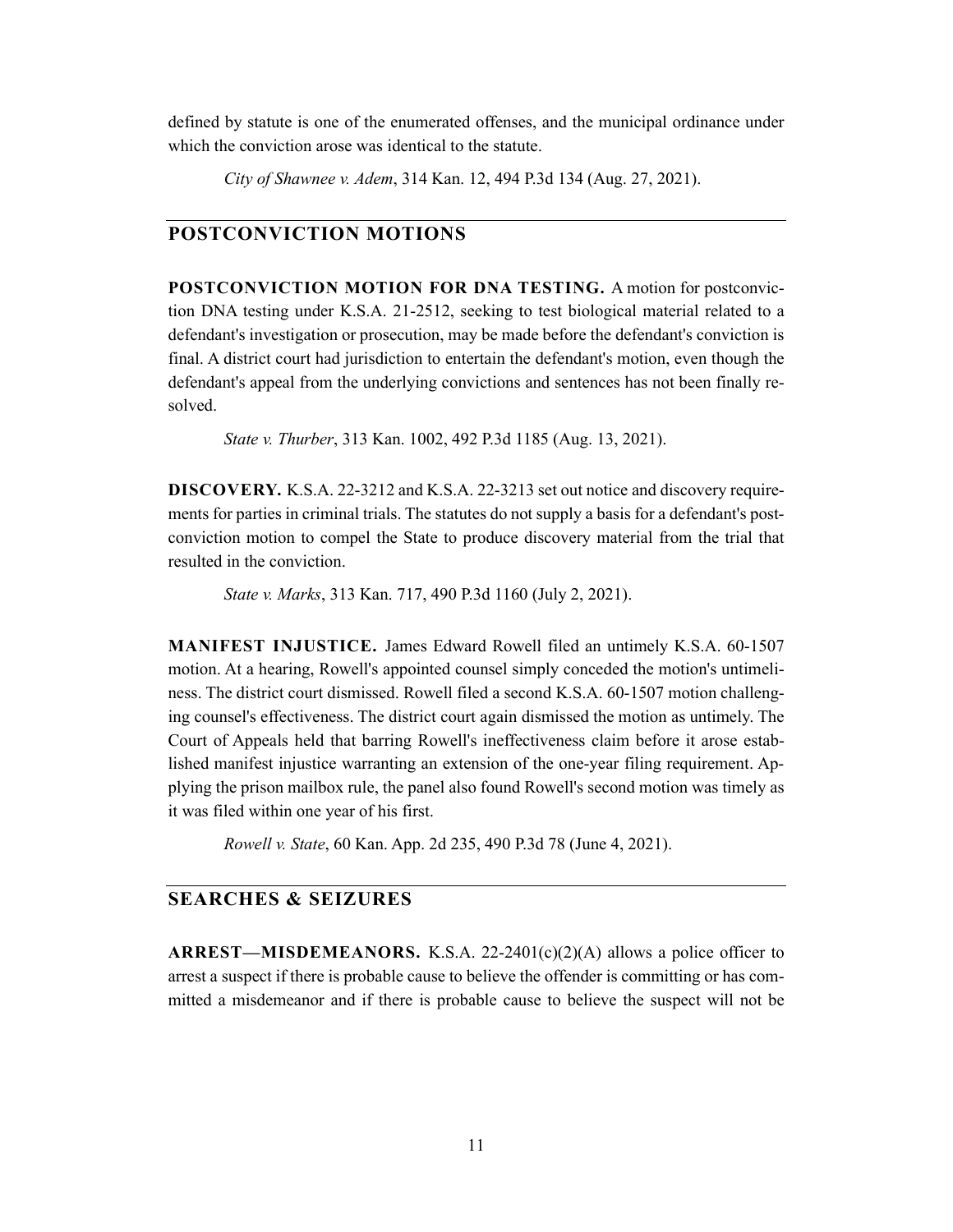defined by statute is one of the enumerated offenses, and the municipal ordinance under which the conviction arose was identical to the statute.

*City of Shawnee v. Adem*, 314 Kan. 12, 494 P.3d 134 (Aug. 27, 2021).

# **POSTCONVICTION MOTIONS**

**POSTCONVICTION MOTION FOR DNA TESTING.** A motion for postconviction DNA testing under K.S.A. 21-2512, seeking to test biological material related to a defendant's investigation or prosecution, may be made before the defendant's conviction is final. A district court had jurisdiction to entertain the defendant's motion, even though the defendant's appeal from the underlying convictions and sentences has not been finally resolved.

*State v. Thurber*, 313 Kan. 1002, 492 P.3d 1185 (Aug. 13, 2021).

**DISCOVERY.** K.S.A. 22-3212 and K.S.A. 22-3213 set out notice and discovery requirements for parties in criminal trials. The statutes do not supply a basis for a defendant's postconviction motion to compel the State to produce discovery material from the trial that resulted in the conviction.

*State v. Marks*, 313 Kan. 717, 490 P.3d 1160 (July 2, 2021).

**MANIFEST INJUSTICE.** James Edward Rowell filed an untimely K.S.A. 60-1507 motion. At a hearing, Rowell's appointed counsel simply conceded the motion's untimeliness. The district court dismissed. Rowell filed a second K.S.A. 60-1507 motion challenging counsel's effectiveness. The district court again dismissed the motion as untimely. The Court of Appeals held that barring Rowell's ineffectiveness claim before it arose established manifest injustice warranting an extension of the one-year filing requirement. Applying the prison mailbox rule, the panel also found Rowell's second motion was timely as it was filed within one year of his first.

*Rowell v. State*, 60 Kan. App. 2d 235, 490 P.3d 78 (June 4, 2021).

# **SEARCHES & SEIZURES**

**ARREST—MISDEMEANORS.** K.S.A. 22-2401(c)(2)(A) allows a police officer to arrest a suspect if there is probable cause to believe the offender is committing or has committed a misdemeanor and if there is probable cause to believe the suspect will not be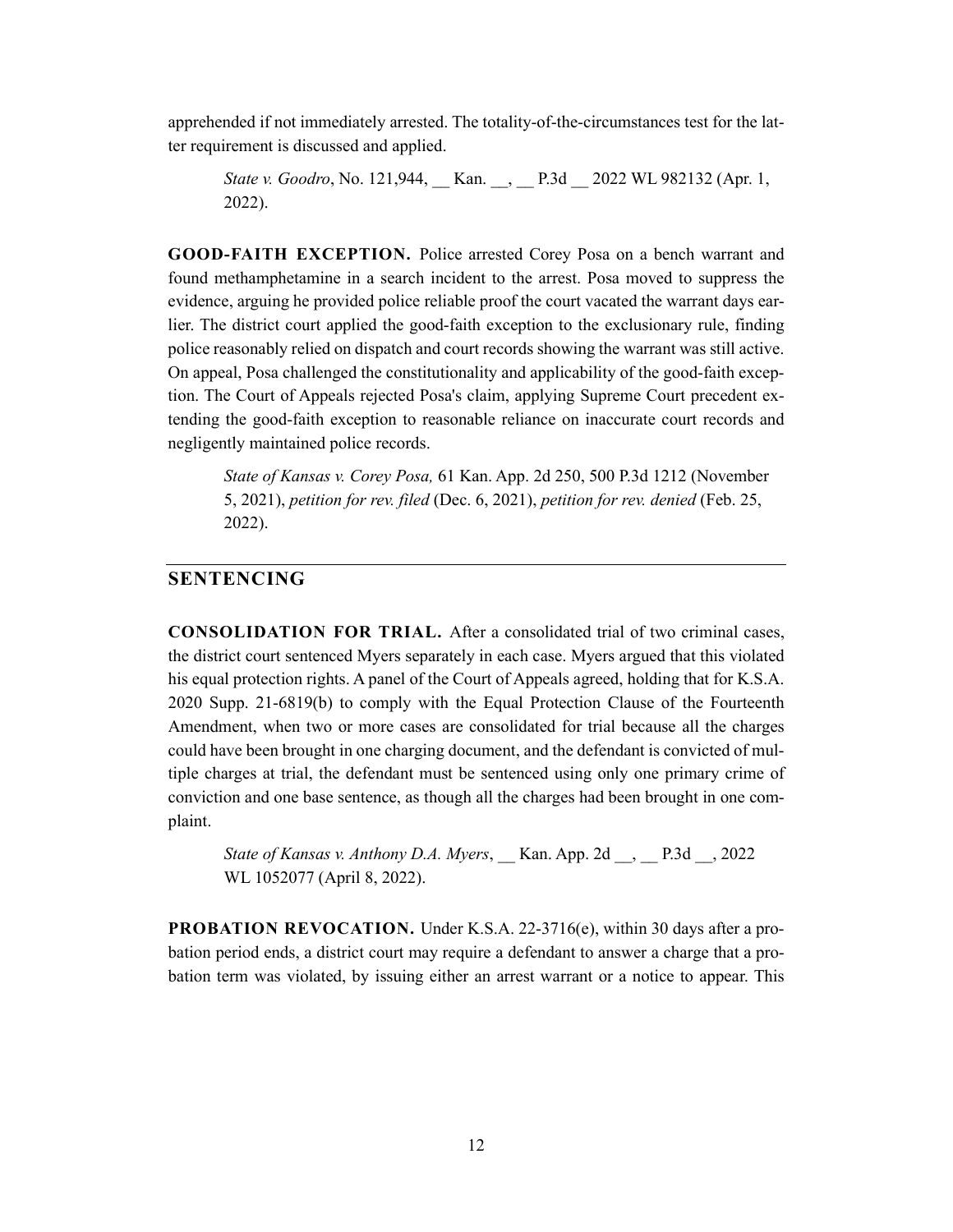apprehended if not immediately arrested. The totality-of-the-circumstances test for the latter requirement is discussed and applied.

*State v. Goodro*, No. 121,944, Kan. , P.3d 2022 WL 982132 (Apr. 1, 2022).

**GOOD-FAITH EXCEPTION.** Police arrested Corey Posa on a bench warrant and found methamphetamine in a search incident to the arrest. Posa moved to suppress the evidence, arguing he provided police reliable proof the court vacated the warrant days earlier. The district court applied the good-faith exception to the exclusionary rule, finding police reasonably relied on dispatch and court records showing the warrant was still active. On appeal, Posa challenged the constitutionality and applicability of the good-faith exception. The Court of Appeals rejected Posa's claim, applying Supreme Court precedent extending the good-faith exception to reasonable reliance on inaccurate court records and negligently maintained police records.

*State of Kansas v. Corey Posa,* 61 Kan. App. 2d 250, 500 P.3d 1212 (November 5, 2021), *petition for rev. filed* (Dec. 6, 2021), *petition for rev. denied* (Feb. 25, 2022).

#### **SENTENCING**

**CONSOLIDATION FOR TRIAL.** After a consolidated trial of two criminal cases, the district court sentenced Myers separately in each case. Myers argued that this violated his equal protection rights. A panel of the Court of Appeals agreed, holding that for K.S.A. 2020 Supp. 21-6819(b) to comply with the Equal Protection Clause of the Fourteenth Amendment, when two or more cases are consolidated for trial because all the charges could have been brought in one charging document, and the defendant is convicted of multiple charges at trial, the defendant must be sentenced using only one primary crime of conviction and one base sentence, as though all the charges had been brought in one complaint.

*State of Kansas v. Anthony D.A. Myers*, \_\_ Kan. App. 2d \_\_, \_\_ P.3d \_\_, 2022 WL 1052077 (April 8, 2022).

**PROBATION REVOCATION.** Under K.S.A. 22-3716(e), within 30 days after a probation period ends, a district court may require a defendant to answer a charge that a probation term was violated, by issuing either an arrest warrant or a notice to appear. This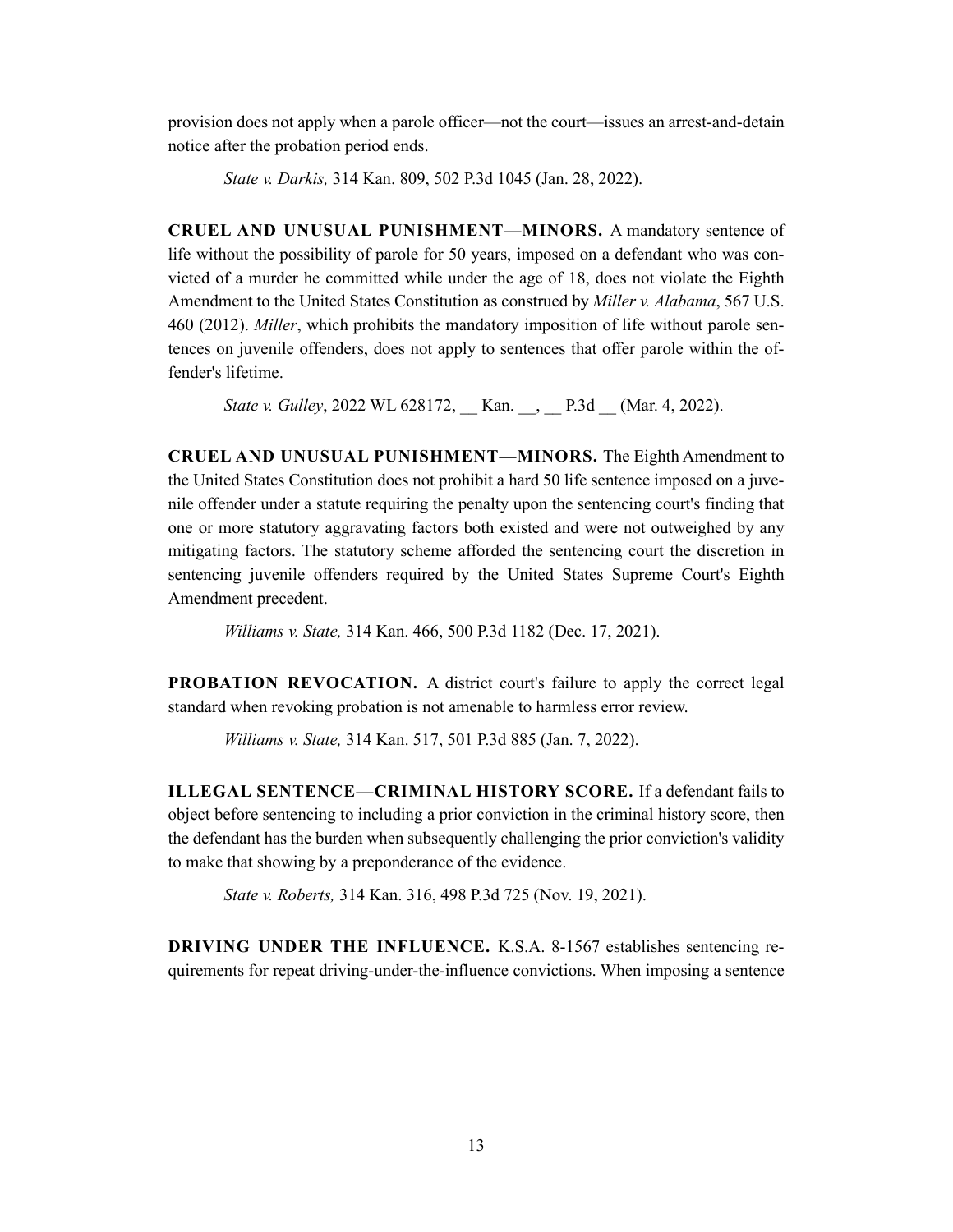provision does not apply when a parole officer—not the court—issues an arrest-and-detain notice after the probation period ends.

*State v. Darkis,* 314 Kan. 809, 502 P.3d 1045 (Jan. 28, 2022).

**CRUEL AND UNUSUAL PUNISHMENT—MINORS.** A mandatory sentence of life without the possibility of parole for 50 years, imposed on a defendant who was convicted of a murder he committed while under the age of 18, does not violate the Eighth Amendment to the United States Constitution as construed by *Miller v. Alabama*, 567 U.S. 460 (2012). *Miller*, which prohibits the mandatory imposition of life without parole sentences on juvenile offenders, does not apply to sentences that offer parole within the offender's lifetime.

*State v. Gulley*, 2022 WL 628172, Kan. , P.3d (Mar. 4, 2022).

**CRUEL AND UNUSUAL PUNISHMENT—MINORS.** The Eighth Amendment to the United States Constitution does not prohibit a hard 50 life sentence imposed on a juvenile offender under a statute requiring the penalty upon the sentencing court's finding that one or more statutory aggravating factors both existed and were not outweighed by any mitigating factors. The statutory scheme afforded the sentencing court the discretion in sentencing juvenile offenders required by the United States Supreme Court's Eighth Amendment precedent.

*Williams v. State,* 314 Kan. 466, 500 P.3d 1182 (Dec. 17, 2021).

**PROBATION REVOCATION.** A district court's failure to apply the correct legal standard when revoking probation is not amenable to harmless error review.

*Williams v. State,* 314 Kan. 517, 501 P.3d 885 (Jan. 7, 2022).

**ILLEGAL SENTENCE—CRIMINAL HISTORY SCORE.** If a defendant fails to object before sentencing to including a prior conviction in the criminal history score, then the defendant has the burden when subsequently challenging the prior conviction's validity to make that showing by a preponderance of the evidence.

*State v. Roberts,* 314 Kan. 316, 498 P.3d 725 (Nov. 19, 2021).

**DRIVING UNDER THE INFLUENCE.** K.S.A. 8-1567 establishes sentencing requirements for repeat driving-under-the-influence convictions. When imposing a sentence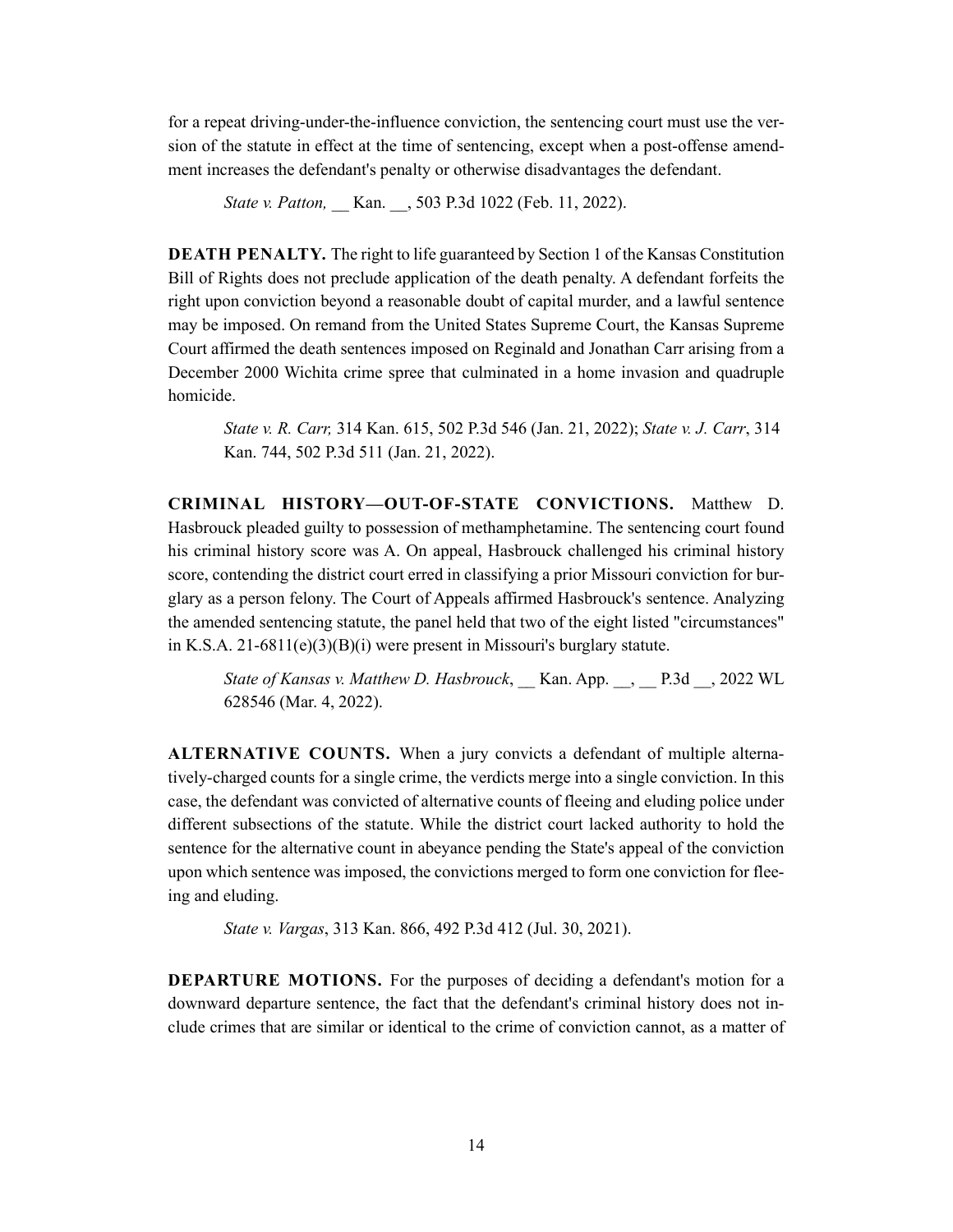for a repeat driving-under-the-influence conviction, the sentencing court must use the version of the statute in effect at the time of sentencing, except when a post-offense amendment increases the defendant's penalty or otherwise disadvantages the defendant.

*State v. Patton,* Kan. , 503 P.3d 1022 (Feb. 11, 2022).

**DEATH PENALTY.** The right to life guaranteed by Section 1 of the Kansas Constitution Bill of Rights does not preclude application of the death penalty. A defendant forfeits the right upon conviction beyond a reasonable doubt of capital murder, and a lawful sentence may be imposed. On remand from the United States Supreme Court, the Kansas Supreme Court affirmed the death sentences imposed on Reginald and Jonathan Carr arising from a December 2000 Wichita crime spree that culminated in a home invasion and quadruple homicide.

*State v. R. Carr,* 314 Kan. 615, 502 P.3d 546 (Jan. 21, 2022); *State v. J. Carr*, 314 Kan. 744, 502 P.3d 511 (Jan. 21, 2022).

**CRIMINAL HISTORY—OUT-OF-STATE CONVICTIONS.** Matthew D. Hasbrouck pleaded guilty to possession of methamphetamine. The sentencing court found his criminal history score was A. On appeal, Hasbrouck challenged his criminal history score, contending the district court erred in classifying a prior Missouri conviction for burglary as a person felony. The Court of Appeals affirmed Hasbrouck's sentence. Analyzing the amended sentencing statute, the panel held that two of the eight listed "circumstances" in K.S.A. 21-6811(e)(3)(B)(i) were present in Missouri's burglary statute.

*State of Kansas v. Matthew D. Hasbrouck*, \_\_ Kan. App. \_\_, \_\_ P.3d \_\_, 2022 WL 628546 (Mar. 4, 2022).

**ALTERNATIVE COUNTS.** When a jury convicts a defendant of multiple alternatively-charged counts for a single crime, the verdicts merge into a single conviction. In this case, the defendant was convicted of alternative counts of fleeing and eluding police under different subsections of the statute. While the district court lacked authority to hold the sentence for the alternative count in abeyance pending the State's appeal of the conviction upon which sentence was imposed, the convictions merged to form one conviction for fleeing and eluding.

*State v. Vargas*, 313 Kan. 866, 492 P.3d 412 (Jul. 30, 2021).

**DEPARTURE MOTIONS.** For the purposes of deciding a defendant's motion for a downward departure sentence, the fact that the defendant's criminal history does not include crimes that are similar or identical to the crime of conviction cannot, as a matter of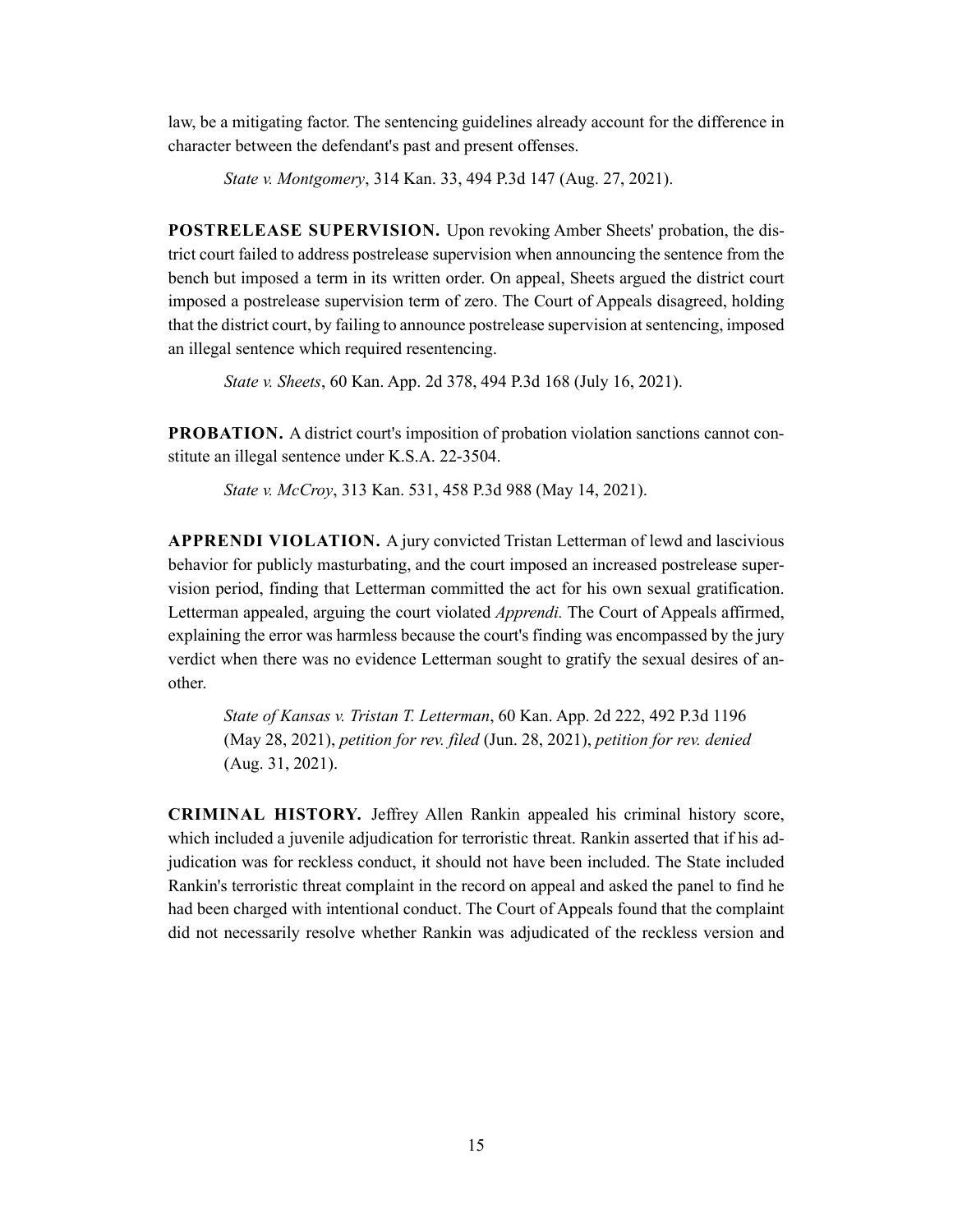law, be a mitigating factor. The sentencing guidelines already account for the difference in character between the defendant's past and present offenses.

*State v. Montgomery*, 314 Kan. 33, 494 P.3d 147 (Aug. 27, 2021).

**POSTRELEASE SUPERVISION.** Upon revoking Amber Sheets' probation, the district court failed to address postrelease supervision when announcing the sentence from the bench but imposed a term in its written order. On appeal, Sheets argued the district court imposed a postrelease supervision term of zero. The Court of Appeals disagreed, holding that the district court, by failing to announce postrelease supervision at sentencing, imposed an illegal sentence which required resentencing.

*State v. Sheets*, 60 Kan. App. 2d 378, 494 P.3d 168 (July 16, 2021).

**PROBATION.** A district court's imposition of probation violation sanctions cannot constitute an illegal sentence under K.S.A. 22-3504.

*State v. McCroy*, 313 Kan. 531, 458 P.3d 988 (May 14, 2021).

**APPRENDI VIOLATION.** A jury convicted Tristan Letterman of lewd and lascivious behavior for publicly masturbating, and the court imposed an increased postrelease supervision period, finding that Letterman committed the act for his own sexual gratification. Letterman appealed, arguing the court violated *Apprendi.* The Court of Appeals affirmed, explaining the error was harmless because the court's finding was encompassed by the jury verdict when there was no evidence Letterman sought to gratify the sexual desires of another.

*State of Kansas v. Tristan T. Letterman*, 60 Kan. App. 2d 222, 492 P.3d 1196 (May 28, 2021), *petition for rev. filed* (Jun. 28, 2021), *petition for rev. denied* (Aug. 31, 2021).

**CRIMINAL HISTORY.** Jeffrey Allen Rankin appealed his criminal history score, which included a juvenile adjudication for terroristic threat. Rankin asserted that if his adjudication was for reckless conduct, it should not have been included. The State included Rankin's terroristic threat complaint in the record on appeal and asked the panel to find he had been charged with intentional conduct. The Court of Appeals found that the complaint did not necessarily resolve whether Rankin was adjudicated of the reckless version and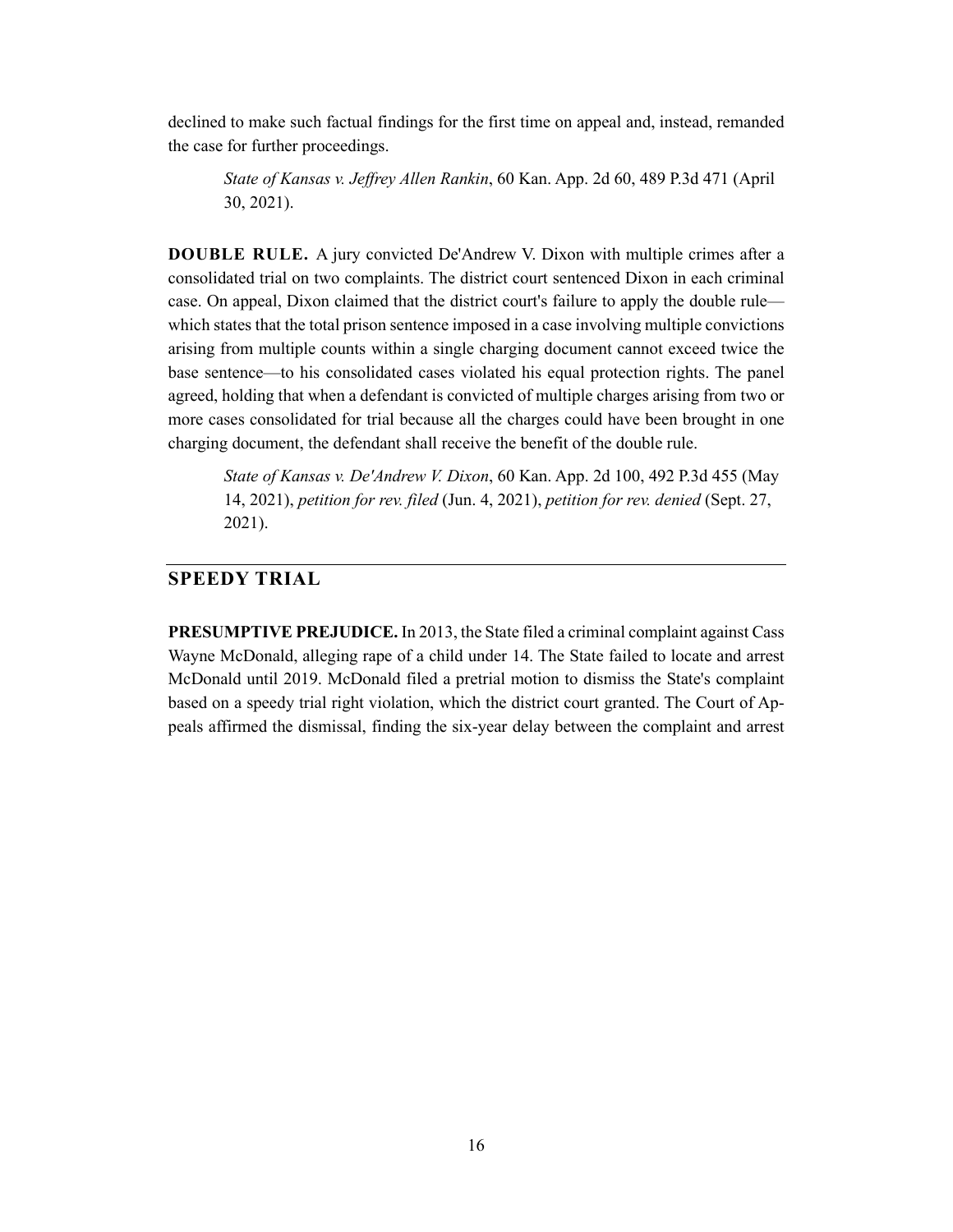declined to make such factual findings for the first time on appeal and, instead, remanded the case for further proceedings.

*State of Kansas v. Jeffrey Allen Rankin*, 60 Kan. App. 2d 60, 489 P.3d 471 (April 30, 2021).

**DOUBLE RULE.** A jury convicted De'Andrew V. Dixon with multiple crimes after a consolidated trial on two complaints. The district court sentenced Dixon in each criminal case. On appeal, Dixon claimed that the district court's failure to apply the double rule which states that the total prison sentence imposed in a case involving multiple convictions arising from multiple counts within a single charging document cannot exceed twice the base sentence—to his consolidated cases violated his equal protection rights. The panel agreed, holding that when a defendant is convicted of multiple charges arising from two or more cases consolidated for trial because all the charges could have been brought in one charging document, the defendant shall receive the benefit of the double rule.

*State of Kansas v. De'Andrew V. Dixon*, 60 Kan. App. 2d 100, 492 P.3d 455 (May 14, 2021), *petition for rev. filed* (Jun. 4, 2021), *petition for rev. denied* (Sept. 27, 2021).

# **SPEEDY TRIAL**

**PRESUMPTIVE PREJUDICE.** In 2013, the State filed a criminal complaint against Cass Wayne McDonald, alleging rape of a child under 14. The State failed to locate and arrest McDonald until 2019. McDonald filed a pretrial motion to dismiss the State's complaint based on a speedy trial right violation, which the district court granted. The Court of Appeals affirmed the dismissal, finding the six-year delay between the complaint and arrest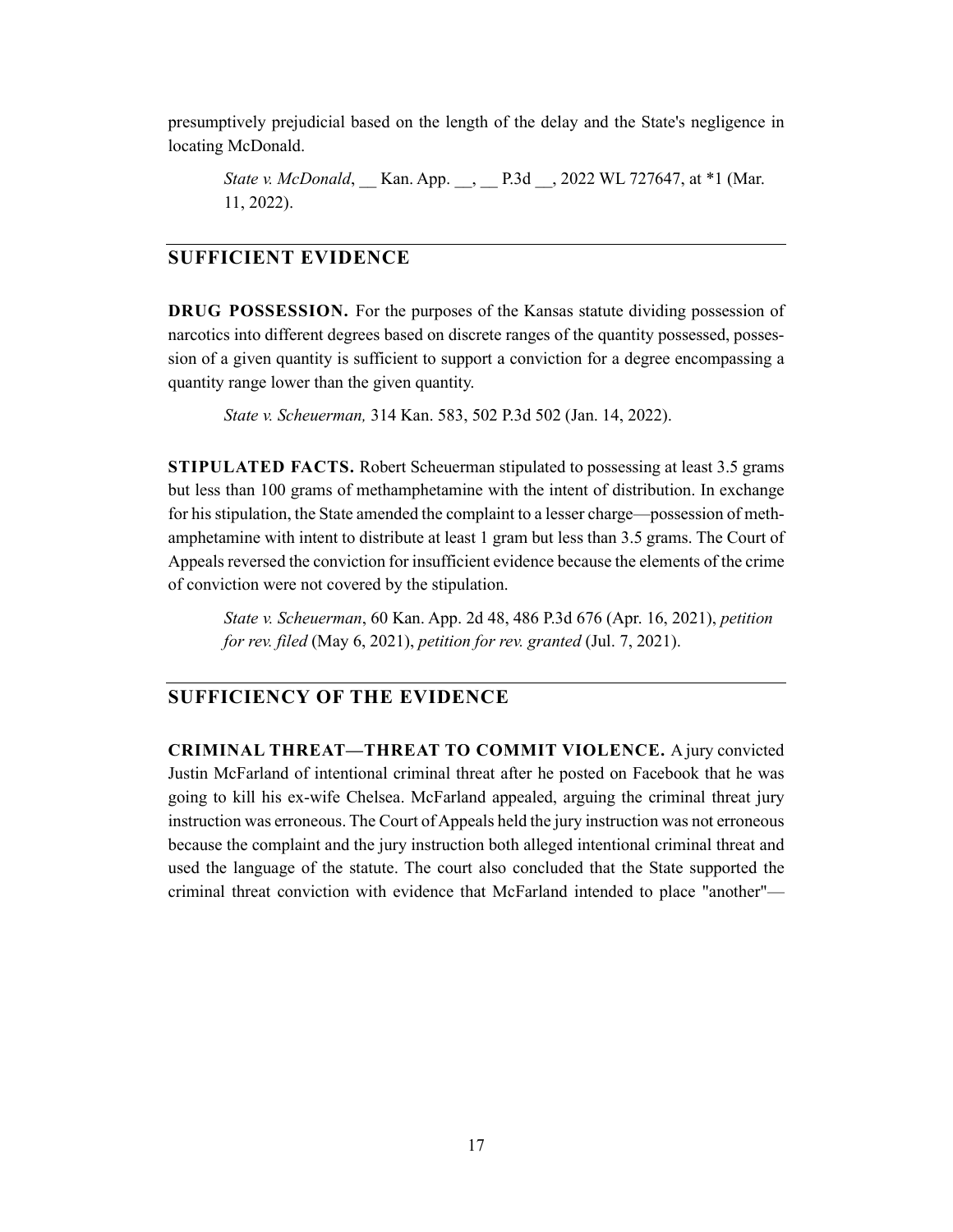presumptively prejudicial based on the length of the delay and the State's negligence in locating McDonald.

*State v. McDonald*, Kan. App. , P.3d , 2022 WL 727647, at \*1 (Mar. 11, 2022).

#### **SUFFICIENT EVIDENCE**

**DRUG POSSESSION.** For the purposes of the Kansas statute dividing possession of narcotics into different degrees based on discrete ranges of the quantity possessed, possession of a given quantity is sufficient to support a conviction for a degree encompassing a quantity range lower than the given quantity.

*State v. Scheuerman,* 314 Kan. 583, 502 P.3d 502 (Jan. 14, 2022).

**STIPULATED FACTS.** Robert Scheuerman stipulated to possessing at least 3.5 grams but less than 100 grams of methamphetamine with the intent of distribution. In exchange for his stipulation, the State amended the complaint to a lesser charge—possession of methamphetamine with intent to distribute at least 1 gram but less than 3.5 grams. The Court of Appeals reversed the conviction for insufficient evidence because the elements of the crime of conviction were not covered by the stipulation.

*State v. Scheuerman*, 60 Kan. App. 2d 48, 486 P.3d 676 (Apr. 16, 2021), *petition for rev. filed* (May 6, 2021), *petition for rev. granted* (Jul. 7, 2021).

## **SUFFICIENCY OF THE EVIDENCE**

**CRIMINAL THREAT—THREAT TO COMMIT VIOLENCE.** A jury convicted Justin McFarland of intentional criminal threat after he posted on Facebook that he was going to kill his ex-wife Chelsea. McFarland appealed, arguing the criminal threat jury instruction was erroneous. The Court of Appeals held the jury instruction was not erroneous because the complaint and the jury instruction both alleged intentional criminal threat and used the language of the statute. The court also concluded that the State supported the criminal threat conviction with evidence that McFarland intended to place "another"—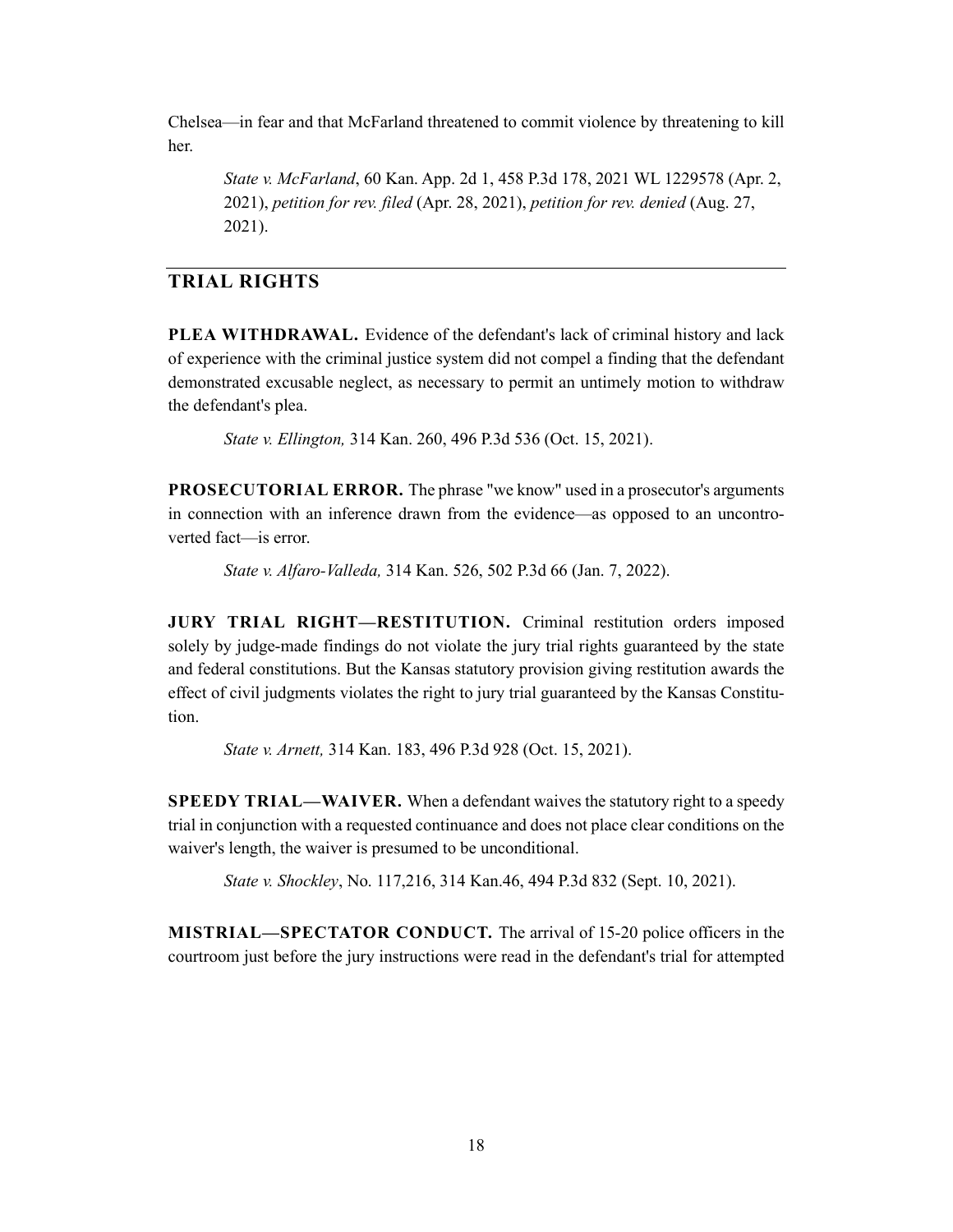Chelsea—in fear and that McFarland threatened to commit violence by threatening to kill her.

*State v. McFarland*, 60 Kan. App. 2d 1, 458 P.3d 178, 2021 WL 1229578 (Apr. 2, 2021), *petition for rev. filed* (Apr. 28, 2021), *petition for rev. denied* (Aug. 27, 2021).

# **TRIAL RIGHTS**

**PLEA WITHDRAWAL.** Evidence of the defendant's lack of criminal history and lack of experience with the criminal justice system did not compel a finding that the defendant demonstrated excusable neglect, as necessary to permit an untimely motion to withdraw the defendant's plea.

*State v. Ellington,* 314 Kan. 260, 496 P.3d 536 (Oct. 15, 2021).

**PROSECUTORIAL ERROR.** The phrase "we know" used in a prosecutor's arguments in connection with an inference drawn from the evidence—as opposed to an uncontroverted fact—is error.

*State v. Alfaro-Valleda,* 314 Kan. 526, 502 P.3d 66 (Jan. 7, 2022).

**JURY TRIAL RIGHT—RESTITUTION.** Criminal restitution orders imposed solely by judge-made findings do not violate the jury trial rights guaranteed by the state and federal constitutions. But the Kansas statutory provision giving restitution awards the effect of civil judgments violates the right to jury trial guaranteed by the Kansas Constitution.

*State v. Arnett,* 314 Kan. 183, 496 P.3d 928 (Oct. 15, 2021).

**SPEEDY TRIAL—WAIVER.** When a defendant waives the statutory right to a speedy trial in conjunction with a requested continuance and does not place clear conditions on the waiver's length, the waiver is presumed to be unconditional.

*State v. Shockley*, No. 117,216, 314 Kan.46, 494 P.3d 832 (Sept. 10, 2021).

**MISTRIAL—SPECTATOR CONDUCT.** The arrival of 15-20 police officers in the courtroom just before the jury instructions were read in the defendant's trial for attempted